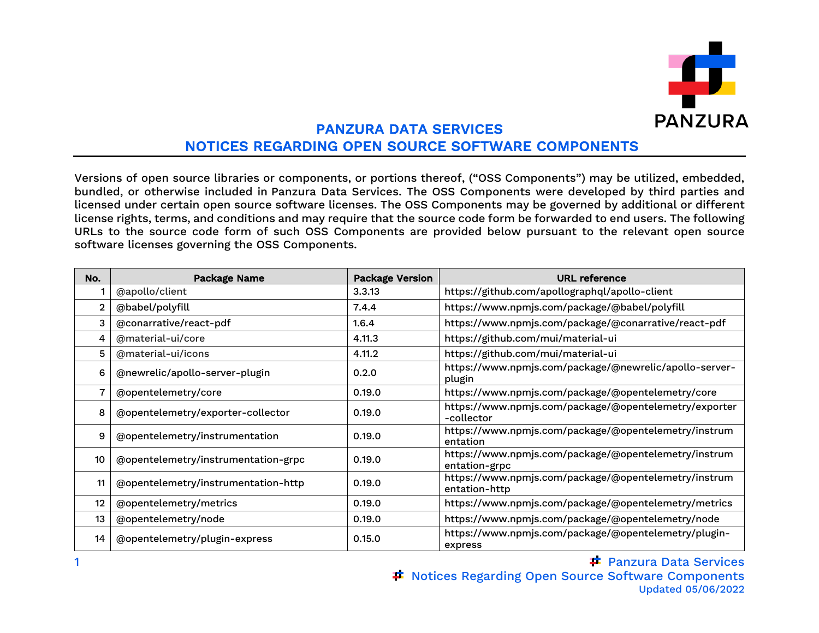

## PANZURA DATA SERVICES NOTICES REGARDING OPEN SOURCE SOFTWARE COMPONENTS

Versions of open source libraries or components, or portions thereof, ("OSS Components") may be utilized, embedded, bundled, or otherwise included in Panzura Data Services. The OSS Components were developed by third parties and licensed under certain open source software licenses. The OSS Components may be governed by additional or different license rights, terms, and conditions and may require that the source code form be forwarded to end users. The following URLs to the source code form of such OSS Components are provided below pursuant to the relevant open source software licenses governing the OSS Components.

| No.               | Package Name                        | <b>Package Version</b> | <b>URL</b> reference                                                  |
|-------------------|-------------------------------------|------------------------|-----------------------------------------------------------------------|
|                   | @apollo/client                      | 3.3.13                 | https://github.com/apollographql/apollo-client                        |
| $\overline{2}$    | @babel/polyfill                     | 7.4.4                  | https://www.npmjs.com/package/@babel/polyfill                         |
| 3                 | @conarrative/react-pdf              | 1.6.4                  | https://www.npmjs.com/package/@conarrative/react-pdf                  |
| 4                 | @material-ui/core                   | 4.11.3                 | https://github.com/mui/material-ui                                    |
| 5                 | @material-ui/icons                  | 4.11.2                 | https://github.com/mui/material-ui                                    |
| 6                 | @newrelic/apollo-server-plugin      | 0.2.0                  | https://www.npmjs.com/package/@newrelic/apollo-server-<br>plugin      |
|                   | @opentelemetry/core                 | 0.19.0                 | https://www.npmjs.com/package/@opentelemetry/core                     |
| 8                 | @opentelemetry/exporter-collector   | 0.19.0                 | https://www.npmjs.com/package/@opentelemetry/exporter<br>-collector   |
| 9                 | @opentelemetry/instrumentation      | 0.19.0                 | https://www.npmjs.com/package/@opentelemetry/instrum<br>entation      |
| 10                | @opentelemetry/instrumentation-grpc | 0.19.0                 | https://www.npmjs.com/package/@opentelemetry/instrum<br>entation-grpc |
| 11                | @opentelemetry/instrumentation-http | 0.19.0                 | https://www.npmjs.com/package/@opentelemetry/instrum<br>entation-http |
| $12 \overline{ }$ | @opentelemetry/metrics              | 0.19.0                 | https://www.npmjs.com/package/@opentelemetry/metrics                  |
| 13                | @opentelemetry/node                 | 0.19.0                 | https://www.npmjs.com/package/@opentelemetry/node                     |
| 14                | @opentelemetry/plugin-express       | 0.15.0                 | https://www.npmjs.com/package/@opentelemetry/plugin-<br>express       |

Panzura Data Services **≖ Notices Regarding Open Source Software Components** Updated 05/06/2022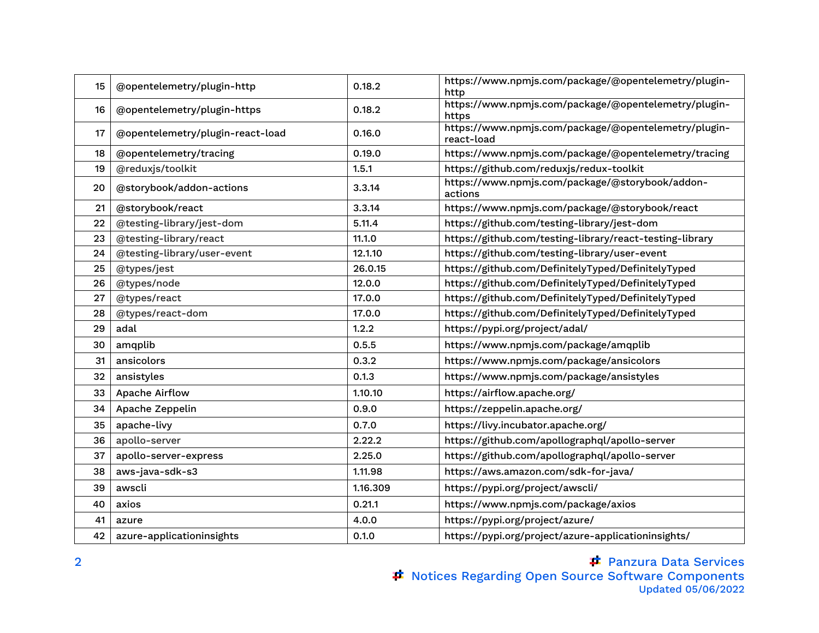| 15 | @opentelemetry/plugin-http       | 0.18.2   | https://www.npmjs.com/package/@opentelemetry/plugin-<br>http       |
|----|----------------------------------|----------|--------------------------------------------------------------------|
| 16 | @opentelemetry/plugin-https      | 0.18.2   | https://www.npmjs.com/package/@opentelemetry/plugin-<br>https      |
| 17 | @opentelemetry/plugin-react-load | 0.16.0   | https://www.npmjs.com/package/@opentelemetry/plugin-<br>react-load |
| 18 | @opentelemetry/tracing           | 0.19.0   | https://www.npmjs.com/package/@opentelemetry/tracing               |
| 19 | @reduxjs/toolkit                 | 1.5.1    | https://github.com/reduxjs/redux-toolkit                           |
| 20 | @storybook/addon-actions         | 3.3.14   | https://www.npmjs.com/package/@storybook/addon-<br>actions         |
| 21 | @storybook/react                 | 3.3.14   | https://www.npmjs.com/package/@storybook/react                     |
| 22 | @testing-library/jest-dom        | 5.11.4   | https://github.com/testing-library/jest-dom                        |
| 23 | @testing-library/react           | 11.1.0   | https://github.com/testing-library/react-testing-library           |
| 24 | @testing-library/user-event      | 12.1.10  | https://github.com/testing-library/user-event                      |
| 25 | @types/jest                      | 26.0.15  | https://github.com/DefinitelyTyped/DefinitelyTyped                 |
| 26 | @types/node                      | 12.0.0   | https://github.com/DefinitelyTyped/DefinitelyTyped                 |
| 27 | @types/react                     | 17.0.0   | https://github.com/DefinitelyTyped/DefinitelyTyped                 |
| 28 | @types/react-dom                 | 17.0.0   | https://github.com/DefinitelyTyped/DefinitelyTyped                 |
| 29 | adal                             | 1.2.2    | https://pypi.org/project/adal/                                     |
| 30 | amqplib                          | 0.5.5    | https://www.npmjs.com/package/amqplib                              |
| 31 | ansicolors                       | 0.3.2    | https://www.npmjs.com/package/ansicolors                           |
| 32 | ansistyles                       | 0.1.3    | https://www.npmjs.com/package/ansistyles                           |
| 33 | Apache Airflow                   | 1.10.10  | https://airflow.apache.org/                                        |
| 34 | Apache Zeppelin                  | 0.9.0    | https://zeppelin.apache.org/                                       |
| 35 | apache-livy                      | 0.7.0    | https://livy.incubator.apache.org/                                 |
| 36 | apollo-server                    | 2.22.2   | https://github.com/apollographql/apollo-server                     |
| 37 | apollo-server-express            | 2.25.0   | https://github.com/apollographql/apollo-server                     |
| 38 | aws-java-sdk-s3                  | 1.11.98  | https://aws.amazon.com/sdk-for-java/                               |
| 39 | awscli                           | 1.16.309 | https://pypi.org/project/awscli/                                   |
| 40 | axios                            | 0.21.1   | https://www.npmjs.com/package/axios                                |
| 41 | azure                            | 4.0.0    | https://pypi.org/project/azure/                                    |
| 42 | azure-applicationinsights        | 0.1.0    | https://pypi.org/project/azure-applicationinsights/                |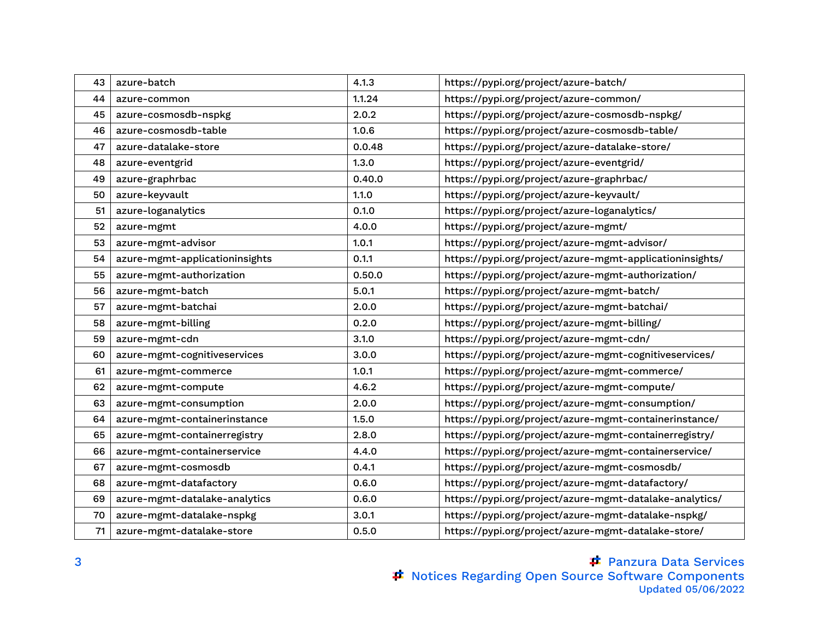| 43 | azure-batch                    | 4.1.3  | https://pypi.org/project/azure-batch/                    |
|----|--------------------------------|--------|----------------------------------------------------------|
| 44 | azure-common                   | 1.1.24 | https://pypi.org/project/azure-common/                   |
| 45 | azure-cosmosdb-nspkg           | 2.0.2  | https://pypi.org/project/azure-cosmosdb-nspkg/           |
| 46 | azure-cosmosdb-table           | 1.0.6  | https://pypi.org/project/azure-cosmosdb-table/           |
| 47 | azure-datalake-store           | 0.0.48 | https://pypi.org/project/azure-datalake-store/           |
| 48 | azure-eventgrid                | 1.3.0  | https://pypi.org/project/azure-eventgrid/                |
| 49 | azure-graphrbac                | 0.40.0 | https://pypi.org/project/azure-graphrbac/                |
| 50 | azure-keyvault                 | 1.1.0  | https://pypi.org/project/azure-keyvault/                 |
| 51 | azure-loganalytics             | 0.1.0  | https://pypi.org/project/azure-loganalytics/             |
| 52 | azure-mgmt                     | 4.0.0  | https://pypi.org/project/azure-mgmt/                     |
| 53 | azure-mgmt-advisor             | 1.0.1  | https://pypi.org/project/azure-mgmt-advisor/             |
| 54 | azure-mgmt-applicationinsights | 0.1.1  | https://pypi.org/project/azure-mgmt-applicationinsights/ |
| 55 | azure-mgmt-authorization       | 0.50.0 | https://pypi.org/project/azure-mgmt-authorization/       |
| 56 | azure-mgmt-batch               | 5.0.1  | https://pypi.org/project/azure-mgmt-batch/               |
| 57 | azure-mgmt-batchai             | 2.0.0  | https://pypi.org/project/azure-mgmt-batchai/             |
| 58 | azure-mgmt-billing             | 0.2.0  | https://pypi.org/project/azure-mgmt-billing/             |
| 59 | azure-mgmt-cdn                 | 3.1.0  | https://pypi.org/project/azure-mgmt-cdn/                 |
| 60 | azure-mgmt-cognitiveservices   | 3.0.0  | https://pypi.org/project/azure-mgmt-cognitiveservices/   |
| 61 | azure-mgmt-commerce            | 1.0.1  | https://pypi.org/project/azure-mgmt-commerce/            |
| 62 | azure-mgmt-compute             | 4.6.2  | https://pypi.org/project/azure-mgmt-compute/             |
| 63 | azure-mgmt-consumption         | 2.0.0  | https://pypi.org/project/azure-mgmt-consumption/         |
| 64 | azure-mgmt-containerinstance   | 1.5.0  | https://pypi.org/project/azure-mgmt-containerinstance/   |
| 65 | azure-mgmt-containerregistry   | 2.8.0  | https://pypi.org/project/azure-mgmt-containerregistry/   |
| 66 | azure-mgmt-containerservice    | 4.4.0  | https://pypi.org/project/azure-mgmt-containerservice/    |
| 67 | azure-mgmt-cosmosdb            | 0.4.1  | https://pypi.org/project/azure-mgmt-cosmosdb/            |
| 68 | azure-mgmt-datafactory         | 0.6.0  | https://pypi.org/project/azure-mgmt-datafactory/         |
| 69 | azure-mgmt-datalake-analytics  | 0.6.0  | https://pypi.org/project/azure-mgmt-datalake-analytics/  |
| 70 | azure-mgmt-datalake-nspkg      | 3.0.1  | https://pypi.org/project/azure-mgmt-datalake-nspkg/      |
| 71 | azure-mgmt-datalake-store      | 0.5.0  | https://pypi.org/project/azure-mgmt-datalake-store/      |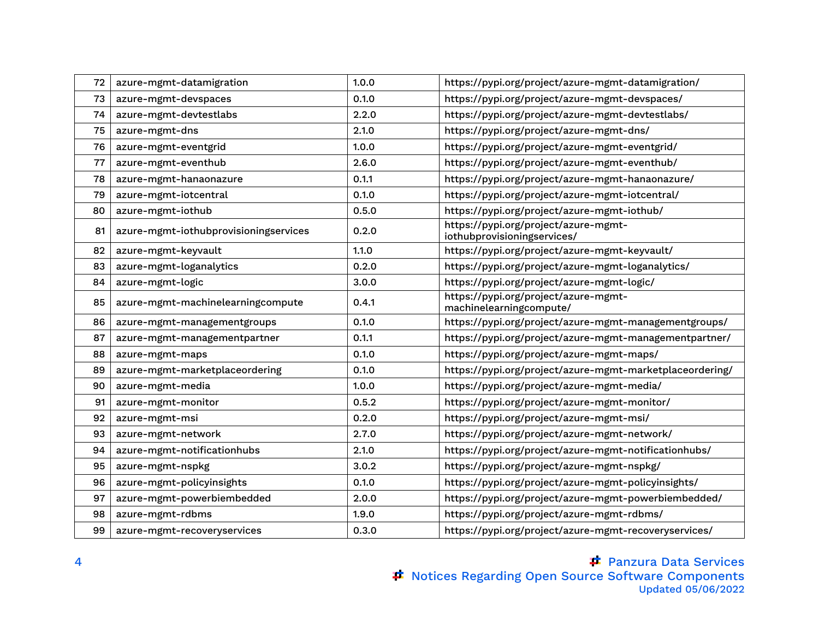| 72 | azure-mgmt-datamigration              | 1.0.0 | https://pypi.org/project/azure-mgmt-datamigration/                  |
|----|---------------------------------------|-------|---------------------------------------------------------------------|
| 73 | azure-mgmt-devspaces                  | 0.1.0 | https://pypi.org/project/azure-mgmt-devspaces/                      |
| 74 | azure-mgmt-devtestlabs                | 2.2.0 | https://pypi.org/project/azure-mgmt-devtestlabs/                    |
| 75 | azure-mgmt-dns                        | 2.1.0 | https://pypi.org/project/azure-mgmt-dns/                            |
| 76 | azure-mgmt-eventgrid                  | 1.0.0 | https://pypi.org/project/azure-mgmt-eventgrid/                      |
| 77 | azure-mgmt-eventhub                   | 2.6.0 | https://pypi.org/project/azure-mgmt-eventhub/                       |
| 78 | azure-mgmt-hanaonazure                | 0.1.1 | https://pypi.org/project/azure-mgmt-hanaonazure/                    |
| 79 | azure-mgmt-iotcentral                 | 0.1.0 | https://pypi.org/project/azure-mgmt-iotcentral/                     |
| 80 | azure-mgmt-iothub                     | 0.5.0 | https://pypi.org/project/azure-mgmt-iothub/                         |
| 81 | azure-mgmt-iothubprovisioningservices | 0.2.0 | https://pypi.org/project/azure-mgmt-<br>iothubprovisioningservices/ |
| 82 | azure-mgmt-keyvault                   | 1.1.0 | https://pypi.org/project/azure-mgmt-keyvault/                       |
| 83 | azure-mgmt-loganalytics               | 0.2.0 | https://pypi.org/project/azure-mgmt-loganalytics/                   |
| 84 | azure-mgmt-logic                      | 3.0.0 | https://pypi.org/project/azure-mgmt-logic/                          |
| 85 | azure-mgmt-machinelearningcompute     | 0.4.1 | https://pypi.org/project/azure-mgmt-<br>machinelearningcompute/     |
| 86 | azure-mgmt-managementgroups           | 0.1.0 | https://pypi.org/project/azure-mgmt-managementgroups/               |
| 87 | azure-mgmt-managementpartner          | 0.1.1 | https://pypi.org/project/azure-mgmt-managementpartner/              |
| 88 | azure-mgmt-maps                       | 0.1.0 | https://pypi.org/project/azure-mgmt-maps/                           |
| 89 | azure-mgmt-marketplaceordering        | 0.1.0 | https://pypi.org/project/azure-mgmt-marketplaceordering/            |
| 90 | azure-mgmt-media                      | 1.0.0 | https://pypi.org/project/azure-mgmt-media/                          |
| 91 | azure-mgmt-monitor                    | 0.5.2 | https://pypi.org/project/azure-mgmt-monitor/                        |
| 92 | azure-mgmt-msi                        | 0.2.0 | https://pypi.org/project/azure-mgmt-msi/                            |
| 93 | azure-mgmt-network                    | 2.7.0 | https://pypi.org/project/azure-mgmt-network/                        |
| 94 | azure-mgmt-notificationhubs           | 2.1.0 | https://pypi.org/project/azure-mgmt-notificationhubs/               |
| 95 | azure-mgmt-nspkg                      | 3.0.2 | https://pypi.org/project/azure-mgmt-nspkg/                          |
| 96 | azure-mgmt-policyinsights             | 0.1.0 | https://pypi.org/project/azure-mgmt-policyinsights/                 |
| 97 | azure-mgmt-powerbiembedded            | 2.0.0 | https://pypi.org/project/azure-mgmt-powerbiembedded/                |
| 98 | azure-mgmt-rdbms                      | 1.9.0 | https://pypi.org/project/azure-mgmt-rdbms/                          |
| 99 | azure-mgmt-recoveryservices           | 0.3.0 | https://pypi.org/project/azure-mgmt-recoveryservices/               |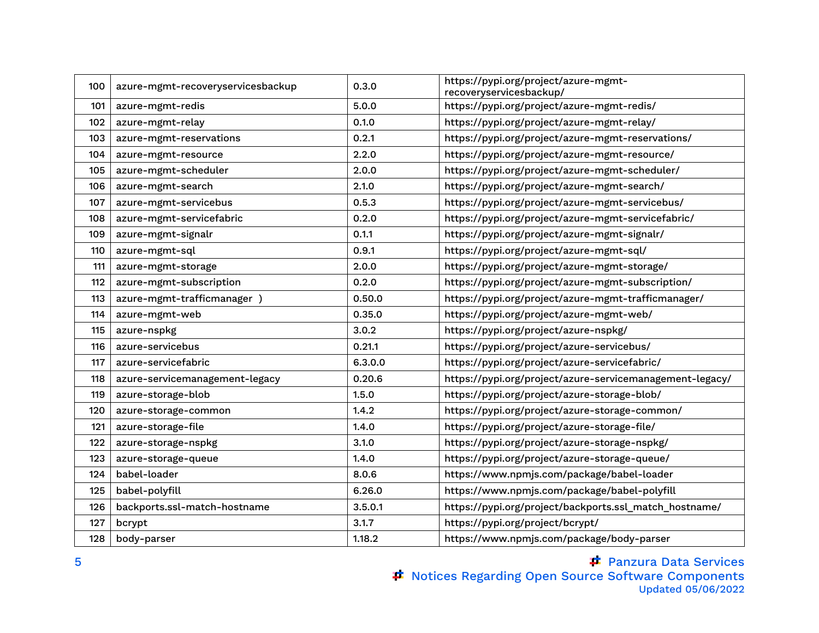| 100 | azure-mgmt-recoveryservicesbackup | 0.3.0   | https://pypi.org/project/azure-mgmt-<br>recoveryservicesbackup/ |
|-----|-----------------------------------|---------|-----------------------------------------------------------------|
| 101 | azure-mgmt-redis                  | 5.0.0   | https://pypi.org/project/azure-mgmt-redis/                      |
| 102 | azure-mgmt-relay                  | 0.1.0   | https://pypi.org/project/azure-mgmt-relay/                      |
| 103 | azure-mgmt-reservations           | 0.2.1   | https://pypi.org/project/azure-mgmt-reservations/               |
| 104 | azure-mgmt-resource               | 2.2.0   | https://pypi.org/project/azure-mgmt-resource/                   |
| 105 | azure-mgmt-scheduler              | 2.0.0   | https://pypi.org/project/azure-mgmt-scheduler/                  |
| 106 | azure-mgmt-search                 | 2.1.0   | https://pypi.org/project/azure-mgmt-search/                     |
| 107 | azure-mgmt-servicebus             | 0.5.3   | https://pypi.org/project/azure-mgmt-servicebus/                 |
| 108 | azure-mgmt-servicefabric          | 0.2.0   | https://pypi.org/project/azure-mgmt-servicefabric/              |
| 109 | azure-mgmt-signalr                | 0.1.1   | https://pypi.org/project/azure-mgmt-signalr/                    |
| 110 | azure-mgmt-sql                    | 0.9.1   | https://pypi.org/project/azure-mgmt-sql/                        |
| 111 | azure-mgmt-storage                | 2.0.0   | https://pypi.org/project/azure-mgmt-storage/                    |
| 112 | azure-mgmt-subscription           | 0.2.0   | https://pypi.org/project/azure-mgmt-subscription/               |
| 113 | azure-mgmt-trafficmanager)        | 0.50.0  | https://pypi.org/project/azure-mgmt-trafficmanager/             |
| 114 | azure-mgmt-web                    | 0.35.0  | https://pypi.org/project/azure-mgmt-web/                        |
| 115 | azure-nspkg                       | 3.0.2   | https://pypi.org/project/azure-nspkg/                           |
| 116 | azure-servicebus                  | 0.21.1  | https://pypi.org/project/azure-servicebus/                      |
| 117 | azure-servicefabric               | 6.3.0.0 | https://pypi.org/project/azure-servicefabric/                   |
| 118 | azure-servicemanagement-legacy    | 0.20.6  | https://pypi.org/project/azure-servicemanagement-legacy/        |
| 119 | azure-storage-blob                | 1.5.0   | https://pypi.org/project/azure-storage-blob/                    |
| 120 | azure-storage-common              | 1.4.2   | https://pypi.org/project/azure-storage-common/                  |
| 121 | azure-storage-file                | 1.4.0   | https://pypi.org/project/azure-storage-file/                    |
| 122 | azure-storage-nspkg               | 3.1.0   | https://pypi.org/project/azure-storage-nspkg/                   |
| 123 | azure-storage-queue               | 1.4.0   | https://pypi.org/project/azure-storage-queue/                   |
| 124 | babel-loader                      | 8.0.6   | https://www.npmjs.com/package/babel-loader                      |
| 125 | babel-polyfill                    | 6.26.0  | https://www.npmjs.com/package/babel-polyfill                    |
| 126 | backports.ssl-match-hostname      | 3.5.0.1 | https://pypi.org/project/backports.ssl_match_hostname/          |
| 127 | bcrypt                            | 3.1.7   | https://pypi.org/project/bcrypt/                                |
| 128 | body-parser                       | 1.18.2  | https://www.npmjs.com/package/body-parser                       |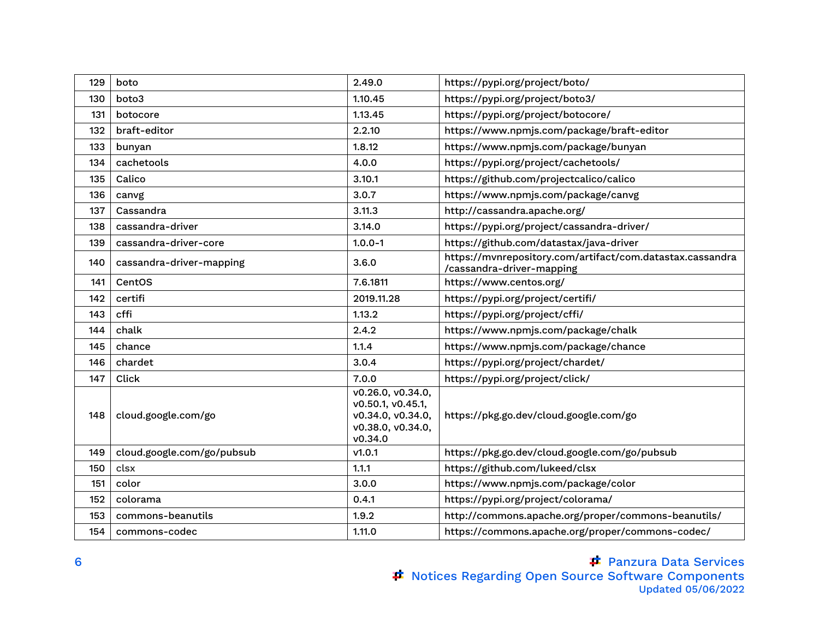| 129 | boto                       | 2.49.0                                                                                      | https://pypi.org/project/boto/                                                         |
|-----|----------------------------|---------------------------------------------------------------------------------------------|----------------------------------------------------------------------------------------|
| 130 | boto3                      | 1.10.45                                                                                     | https://pypi.org/project/boto3/                                                        |
| 131 | botocore                   | 1.13.45                                                                                     | https://pypi.org/project/botocore/                                                     |
| 132 | braft-editor               | 2.2.10                                                                                      | https://www.npmjs.com/package/braft-editor                                             |
| 133 | bunyan                     | 1.8.12                                                                                      | https://www.npmjs.com/package/bunyan                                                   |
| 134 | cachetools                 | 4.0.0                                                                                       | https://pypi.org/project/cachetools/                                                   |
| 135 | Calico                     | 3.10.1                                                                                      | https://github.com/projectcalico/calico                                                |
| 136 | canvg                      | 3.0.7                                                                                       | https://www.npmjs.com/package/canvg                                                    |
| 137 | Cassandra                  | 3.11.3                                                                                      | http://cassandra.apache.org/                                                           |
| 138 | cassandra-driver           | 3.14.0                                                                                      | https://pypi.org/project/cassandra-driver/                                             |
| 139 | cassandra-driver-core      | $1.0.0 - 1$                                                                                 | https://github.com/datastax/java-driver                                                |
| 140 | cassandra-driver-mapping   | 3.6.0                                                                                       | https://mvnrepository.com/artifact/com.datastax.cassandra<br>/cassandra-driver-mapping |
| 141 | CentOS                     | 7.6.1811                                                                                    | https://www.centos.org/                                                                |
| 142 | certifi                    | 2019.11.28                                                                                  | https://pypi.org/project/certifi/                                                      |
| 143 | cffi                       | 1.13.2                                                                                      | https://pypi.org/project/cffi/                                                         |
| 144 | chalk                      | 2.4.2                                                                                       | https://www.npmjs.com/package/chalk                                                    |
| 145 | chance                     | 1.1.4                                                                                       | https://www.npmjs.com/package/chance                                                   |
| 146 | chardet                    | 3.0.4                                                                                       | https://pypi.org/project/chardet/                                                      |
| 147 | Click                      | 7.0.0                                                                                       | https://pypi.org/project/click/                                                        |
| 148 | cloud.google.com/go        | v0.26.0, v0.34.0,<br>v0.50.1, v0.45.1,<br>v0.34.0, v0.34.0,<br>v0.38.0, v0.34.0,<br>v0.34.0 | https://pkg.go.dev/cloud.google.com/go                                                 |
| 149 | cloud.google.com/go/pubsub | v1.0.1                                                                                      | https://pkg.go.dev/cloud.google.com/go/pubsub                                          |
| 150 | clsx                       | 1.1.1                                                                                       | https://github.com/lukeed/clsx                                                         |
| 151 | color                      | 3.0.0                                                                                       | https://www.npmjs.com/package/color                                                    |
| 152 | colorama                   | 0.4.1                                                                                       | https://pypi.org/project/colorama/                                                     |
| 153 | commons-beanutils          | 1.9.2                                                                                       | http://commons.apache.org/proper/commons-beanutils/                                    |
| 154 | commons-codec              | 1.11.0                                                                                      | https://commons.apache.org/proper/commons-codec/                                       |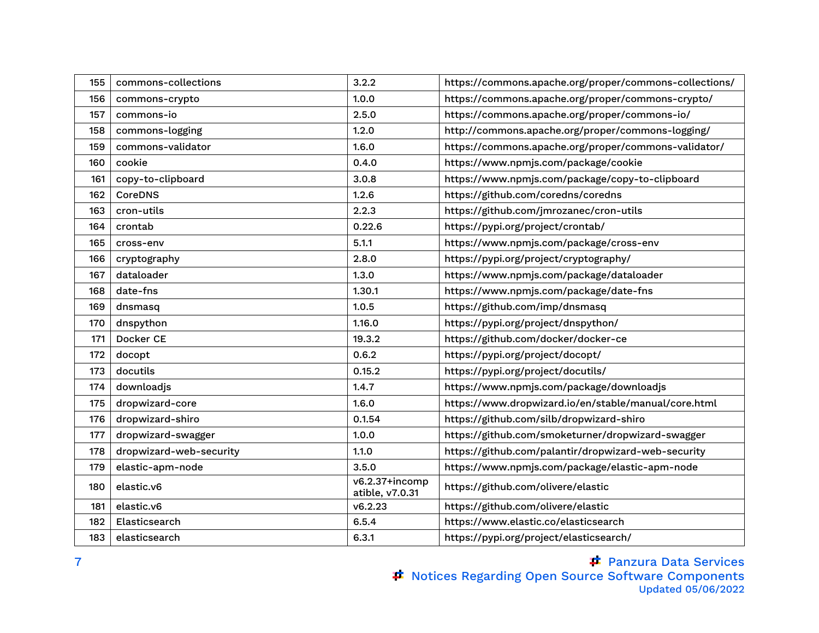| 155 | commons-collections     | 3.2.2                             | https://commons.apache.org/proper/commons-collections/ |
|-----|-------------------------|-----------------------------------|--------------------------------------------------------|
| 156 | commons-crypto          | 1.0.0                             | https://commons.apache.org/proper/commons-crypto/      |
| 157 | commons-io              | 2.5.0                             | https://commons.apache.org/proper/commons-io/          |
| 158 | commons-logging         | 1.2.0                             | http://commons.apache.org/proper/commons-logging/      |
| 159 | commons-validator       | 1.6.0                             | https://commons.apache.org/proper/commons-validator/   |
| 160 | cookie                  | 0.4.0                             | https://www.npmjs.com/package/cookie                   |
| 161 | copy-to-clipboard       | 3.0.8                             | https://www.npmjs.com/package/copy-to-clipboard        |
| 162 | <b>CoreDNS</b>          | 1.2.6                             | https://github.com/coredns/coredns                     |
| 163 | cron-utils              | 2.2.3                             | https://github.com/jmrozanec/cron-utils                |
| 164 | crontab                 | 0.22.6                            | https://pypi.org/project/crontab/                      |
| 165 | cross-env               | 5.1.1                             | https://www.npmjs.com/package/cross-env                |
| 166 | cryptography            | 2.8.0                             | https://pypi.org/project/cryptography/                 |
| 167 | dataloader              | 1.3.0                             | https://www.npmjs.com/package/dataloader               |
| 168 | date-fns                | 1.30.1                            | https://www.npmjs.com/package/date-fns                 |
| 169 | dnsmasq                 | 1.0.5                             | https://github.com/imp/dnsmasq                         |
| 170 | dnspython               | 1.16.0                            | https://pypi.org/project/dnspython/                    |
| 171 | Docker CE               | 19.3.2                            | https://github.com/docker/docker-ce                    |
| 172 | docopt                  | 0.6.2                             | https://pypi.org/project/docopt/                       |
| 173 | docutils                | 0.15.2                            | https://pypi.org/project/docutils/                     |
| 174 | downloadjs              | 1.4.7                             | https://www.npmjs.com/package/downloadjs               |
| 175 | dropwizard-core         | 1.6.0                             | https://www.dropwizard.io/en/stable/manual/core.html   |
| 176 | dropwizard-shiro        | 0.1.54                            | https://github.com/silb/dropwizard-shiro               |
| 177 | dropwizard-swagger      | 1.0.0                             | https://github.com/smoketurner/dropwizard-swagger      |
| 178 | dropwizard-web-security | 1.1.0                             | https://github.com/palantir/dropwizard-web-security    |
| 179 | elastic-apm-node        | 3.5.0                             | https://www.npmjs.com/package/elastic-apm-node         |
| 180 | elastic.v6              | v6.2.37+incomp<br>atible, v7.0.31 | https://github.com/olivere/elastic                     |
| 181 | elastic.v6              | v6.2.23                           | https://github.com/olivere/elastic                     |
| 182 | Elasticsearch           | 6.5.4                             | https://www.elastic.co/elasticsearch                   |
| 183 | elasticsearch           | 6.3.1                             | https://pypi.org/project/elasticsearch/                |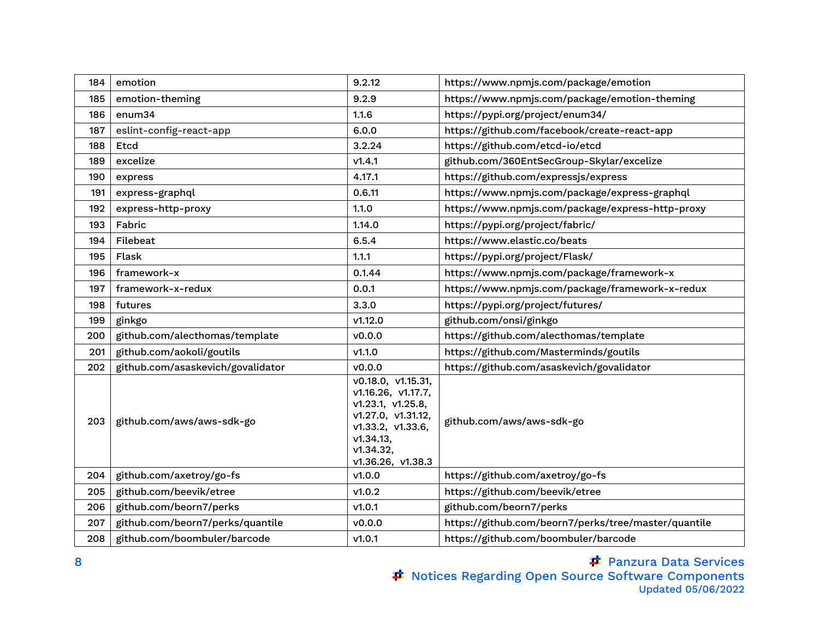| 184 | emotion                           | 9.2.12                                                                                                                                                  | https://www.npmjs.com/package/emotion                |
|-----|-----------------------------------|---------------------------------------------------------------------------------------------------------------------------------------------------------|------------------------------------------------------|
| 185 | emotion-theming                   | 9.2.9                                                                                                                                                   | https://www.npmjs.com/package/emotion-theming        |
| 186 | enum34                            | 1.1.6                                                                                                                                                   | https://pypi.org/project/enum34/                     |
| 187 | eslint-config-react-app           | 6.0.0                                                                                                                                                   | https://github.com/facebook/create-react-app         |
| 188 | Etcd                              | 3.2.24                                                                                                                                                  | https://github.com/etcd-io/etcd                      |
| 189 | excelize                          | V1.4.1                                                                                                                                                  | github.com/360EntSecGroup-Skylar/excelize            |
| 190 | express                           | 4.17.1                                                                                                                                                  | https://github.com/expressjs/express                 |
| 191 | express-graphql                   | 0.6.11                                                                                                                                                  | https://www.npmjs.com/package/express-graphql        |
| 192 | express-http-proxy                | 1.1.0                                                                                                                                                   | https://www.npmjs.com/package/express-http-proxy     |
| 193 | Fabric                            | 1.14.0                                                                                                                                                  | https://pypi.org/project/fabric/                     |
| 194 | Filebeat                          | 6.5.4                                                                                                                                                   | https://www.elastic.co/beats                         |
| 195 | Flask                             | 1.1.1                                                                                                                                                   | https://pypi.org/project/Flask/                      |
| 196 | framework-x                       | 0.1.44                                                                                                                                                  | https://www.npmjs.com/package/framework-x            |
| 197 | framework-x-redux                 | 0.0.1                                                                                                                                                   | https://www.npmjs.com/package/framework-x-redux      |
| 198 | futures                           | 3.3.0                                                                                                                                                   | https://pypi.org/project/futures/                    |
| 199 | ginkgo                            | v1.12.0                                                                                                                                                 | github.com/onsi/ginkgo                               |
| 200 | github.com/alecthomas/template    | v0.0.0                                                                                                                                                  | https://github.com/alecthomas/template               |
| 201 | github.com/aokoli/goutils         | V1.1.0                                                                                                                                                  | https://github.com/Masterminds/goutils               |
| 202 | github.com/asaskevich/govalidator | V0.0.0                                                                                                                                                  | https://github.com/asaskevich/govalidator            |
| 203 | github.com/aws/aws-sdk-go         | v0.18.0, v1.15.31,<br>v1.16.26, v1.17.7,<br>v1.23.1, v1.25.8,<br>v1.27.0, v1.31.12,<br>v1.33.2, v1.33.6,<br>V1.34.13,<br>v1.34.32,<br>v1.36.26, v1.38.3 | github.com/aws/aws-sdk-go                            |
| 204 | github.com/axetroy/go-fs          | v1.0.0                                                                                                                                                  | https://github.com/axetroy/go-fs                     |
| 205 | github.com/beevik/etree           | V1.0.2                                                                                                                                                  | https://github.com/beevik/etree                      |
| 206 | github.com/beorn7/perks           | v1.0.1                                                                                                                                                  | github.com/beorn7/perks                              |
| 207 | github.com/beorn7/perks/quantile  | v0.0.0                                                                                                                                                  | https://github.com/beorn7/perks/tree/master/quantile |
| 208 | github.com/boombuler/barcode      | V1.0.1                                                                                                                                                  | https://github.com/boombuler/barcode                 |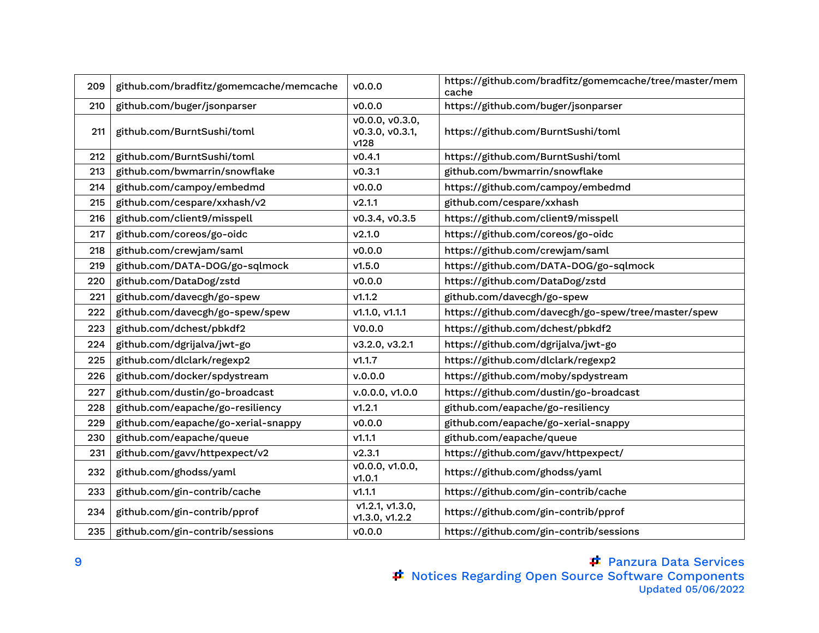| 209 | github.com/bradfitz/gomemcache/memcache | v0.0.0                                     | https://github.com/bradfitz/gomemcache/tree/master/mem<br>cache |
|-----|-----------------------------------------|--------------------------------------------|-----------------------------------------------------------------|
| 210 | github.com/buger/jsonparser             | v0.0.0                                     | https://github.com/buger/jsonparser                             |
| 211 | github.com/BurntSushi/toml              | V0.0.0, V0.3.0,<br>v0.3.0, v0.3.1,<br>v128 | https://github.com/BurntSushi/toml                              |
| 212 | github.com/BurntSushi/toml              | v0.4.1                                     | https://github.com/BurntSushi/toml                              |
| 213 | github.com/bwmarrin/snowflake           | v0.3.1                                     | github.com/bwmarrin/snowflake                                   |
| 214 | github.com/campoy/embedmd               | V0.0.0                                     | https://github.com/campoy/embedmd                               |
| 215 | github.com/cespare/xxhash/v2            | V2.1.1                                     | github.com/cespare/xxhash                                       |
| 216 | github.com/client9/misspell             | v0.3.4, v0.3.5                             | https://github.com/client9/misspell                             |
| 217 | github.com/coreos/go-oidc               | V2.1.0                                     | https://github.com/coreos/go-oidc                               |
| 218 | github.com/crewjam/saml                 | V0.0.0                                     | https://github.com/crewjam/saml                                 |
| 219 | github.com/DATA-DOG/go-sqlmock          | v1.5.0                                     | https://github.com/DATA-DOG/go-sqlmock                          |
| 220 | github.com/DataDog/zstd                 | V0.0.0                                     | https://github.com/DataDog/zstd                                 |
| 221 | github.com/davecgh/go-spew              | v1.1.2                                     | github.com/davecgh/go-spew                                      |
| 222 | github.com/davecgh/go-spew/spew         | V1.1.0, V1.1.1                             | https://github.com/davecgh/go-spew/tree/master/spew             |
| 223 | github.com/dchest/pbkdf2                | V0.0.0                                     | https://github.com/dchest/pbkdf2                                |
| 224 | github.com/dgrijalva/jwt-go             | v3.2.0, v3.2.1                             | https://github.com/dgrijalva/jwt-go                             |
| 225 | github.com/dlclark/regexp2              | V1.1.7                                     | https://github.com/dlclark/regexp2                              |
| 226 | github.com/docker/spdystream            | v.0.0.0                                    | https://github.com/moby/spdystream                              |
| 227 | github.com/dustin/go-broadcast          | v.0.0.0, v1.0.0                            | https://github.com/dustin/go-broadcast                          |
| 228 | github.com/eapache/go-resiliency        | V1.2.1                                     | github.com/eapache/go-resiliency                                |
| 229 | github.com/eapache/go-xerial-snappy     | v0.0.0                                     | github.com/eapache/go-xerial-snappy                             |
| 230 | github.com/eapache/queue                | V1.1.1                                     | github.com/eapache/queue                                        |
| 231 | github.com/gavv/httpexpect/v2           | V2.3.1                                     | https://github.com/gavv/httpexpect/                             |
| 232 | github.com/ghodss/yaml                  | v0.0.0, v1.0.0,<br>V1.0.1                  | https://github.com/ghodss/yaml                                  |
| 233 | github.com/gin-contrib/cache            | V1.1.1                                     | https://github.com/gin-contrib/cache                            |
| 234 | github.com/gin-contrib/pprof            | v1.2.1, v1.3.0,<br>V1.3.0, V1.2.2          | https://github.com/gin-contrib/pprof                            |
| 235 | github.com/gin-contrib/sessions         | V0.0.0                                     | https://github.com/gin-contrib/sessions                         |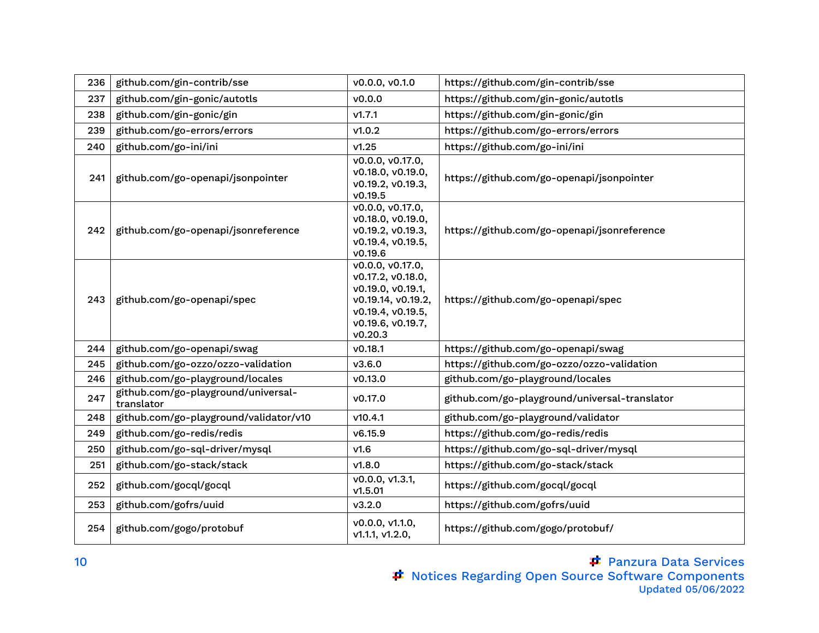| 236 | github.com/gin-contrib/sse                        | v0.0.0, v0.1.0                                                                                                                        | https://github.com/gin-contrib/sse            |
|-----|---------------------------------------------------|---------------------------------------------------------------------------------------------------------------------------------------|-----------------------------------------------|
| 237 | github.com/gin-gonic/autotls                      | v0.0.0                                                                                                                                | https://github.com/gin-gonic/autotls          |
| 238 | github.com/gin-gonic/gin                          | v1.7.1                                                                                                                                | https://github.com/gin-gonic/gin              |
| 239 | github.com/go-errors/errors                       | V1.0.2                                                                                                                                | https://github.com/go-errors/errors           |
| 240 | github.com/go-ini/ini                             | v1.25                                                                                                                                 | https://github.com/go-ini/ini                 |
| 241 | github.com/go-openapi/jsonpointer                 | v0.0.0, v0.17.0,<br>v0.18.0, v0.19.0,<br>v0.19.2, v0.19.3,<br>v0.19.5                                                                 | https://github.com/go-openapi/jsonpointer     |
| 242 | github.com/go-openapi/jsonreference               | v0.0.0, v0.17.0,<br>v0.18.0, v0.19.0,<br>v0.19.2, v0.19.3,<br>v0.19.4, v0.19.5,<br>v0.19.6                                            | https://github.com/go-openapi/jsonreference   |
| 243 | github.com/go-openapi/spec                        | v0.0.0, v0.17.0,<br>v0.17.2, v0.18.0,<br>v0.19.0, v0.19.1,<br>v0.19.14, v0.19.2,<br>v0.19.4, v0.19.5,<br>v0.19.6, v0.19.7,<br>v0.20.3 | https://github.com/go-openapi/spec            |
| 244 | github.com/go-openapi/swag                        | v0.18.1                                                                                                                               | https://github.com/go-openapi/swag            |
| 245 | github.com/go-ozzo/ozzo-validation                | V3.6.0                                                                                                                                | https://github.com/go-ozzo/ozzo-validation    |
| 246 | github.com/go-playground/locales                  | v0.13.0                                                                                                                               | github.com/go-playground/locales              |
| 247 | github.com/go-playground/universal-<br>translator | v0.17.0                                                                                                                               | github.com/go-playground/universal-translator |
| 248 | github.com/go-playground/validator/v10            | v10.4.1                                                                                                                               | github.com/go-playground/validator            |
| 249 | github.com/go-redis/redis                         | v6.15.9                                                                                                                               | https://github.com/go-redis/redis             |
| 250 | github.com/go-sql-driver/mysql                    | V1.6                                                                                                                                  | https://github.com/go-sql-driver/mysql        |
| 251 | github.com/go-stack/stack                         | V1.8.0                                                                                                                                | https://github.com/go-stack/stack             |
| 252 | github.com/gocql/gocql                            | v0.0.0, v1.3.1,<br>v1.5.01                                                                                                            | https://github.com/gocql/gocql                |
| 253 | github.com/gofrs/uuid                             | V3.2.0                                                                                                                                | https://github.com/gofrs/uuid                 |
| 254 | github.com/gogo/protobuf                          | v0.0.0, v1.1.0,<br>v1.1.1, v1.2.0,                                                                                                    | https://github.com/gogo/protobuf/             |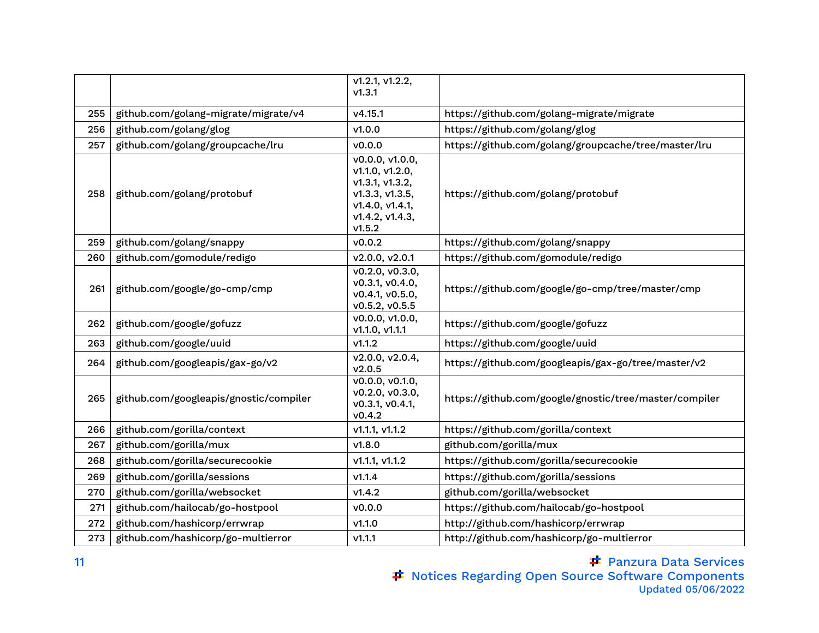|     |                                        | $\sqrt{1.2.1}$ , v1.2.2,<br>V1.3.1                                                                                       |                                                        |
|-----|----------------------------------------|--------------------------------------------------------------------------------------------------------------------------|--------------------------------------------------------|
| 255 | github.com/golang-migrate/migrate/v4   | v4.15.1                                                                                                                  | https://github.com/golang-migrate/migrate              |
| 256 | github.com/golang/glog                 | v1.0.0                                                                                                                   | https://github.com/golang/glog                         |
| 257 | github.com/golang/groupcache/lru       | v0.0.0                                                                                                                   | https://github.com/golang/groupcache/tree/master/lru   |
| 258 | github.com/golang/protobuf             | v0.0.0, v1.0.0,<br>v1.1.0, v1.2.0,<br>v1.3.1, v1.3.2,<br>v1.3.3, v1.3.5,<br>v1.4.0, v1.4.1,<br>v1.4.2, v1.4.3,<br>v1.5.2 | https://github.com/golang/protobuf                     |
| 259 | github.com/golang/snappy               | v0.0.2                                                                                                                   | https://github.com/golang/snappy                       |
| 260 | github.com/gomodule/redigo             | v2.0.0, v2.0.1                                                                                                           | https://github.com/gomodule/redigo                     |
| 261 | github.com/google/go-cmp/cmp           | V0.2.0, V0.3.0,<br>v0.3.1, v0.4.0,<br>v0.4.1, v0.5.0,<br>v0.5.2, v0.5.5                                                  | https://github.com/google/go-cmp/tree/master/cmp       |
| 262 | github.com/google/gofuzz               | v0.0.0, v1.0.0,<br>V1.1.0, V1.1.1                                                                                        | https://github.com/google/gofuzz                       |
| 263 | github.com/google/uuid                 | v1.1.2                                                                                                                   | https://github.com/google/uuid                         |
| 264 | github.com/googleapis/gax-go/v2        | v2.0.0, v2.0.4,<br>v2.0.5                                                                                                | https://github.com/googleapis/gax-go/tree/master/v2    |
| 265 | github.com/googleapis/gnostic/compiler | v0.0.0, v0.1.0,<br>v0.2.0, v0.3.0,<br>v0.3.1, v0.4.1,<br>v0.4.2                                                          | https://github.com/google/gnostic/tree/master/compiler |
| 266 | github.com/gorilla/context             | V1.1.1, V1.1.2                                                                                                           | https://github.com/gorilla/context                     |
| 267 | github.com/gorilla/mux                 | V1.8.0                                                                                                                   | github.com/gorilla/mux                                 |
| 268 | github.com/gorilla/securecookie        | V1.1.1, V1.1.2                                                                                                           | https://github.com/gorilla/securecookie                |
| 269 | github.com/gorilla/sessions            | V1.1.4                                                                                                                   | https://github.com/gorilla/sessions                    |
| 270 | github.com/gorilla/websocket           | V1.4.2                                                                                                                   | github.com/gorilla/websocket                           |
| 271 | github.com/hailocab/go-hostpool        | v0.0.0                                                                                                                   | https://github.com/hailocab/go-hostpool                |
| 272 | github.com/hashicorp/errwrap           | v1.1.0                                                                                                                   | http://github.com/hashicorp/errwrap                    |
| 273 | github.com/hashicorp/go-multierror     | V1.1.1                                                                                                                   | http://github.com/hashicorp/go-multierror              |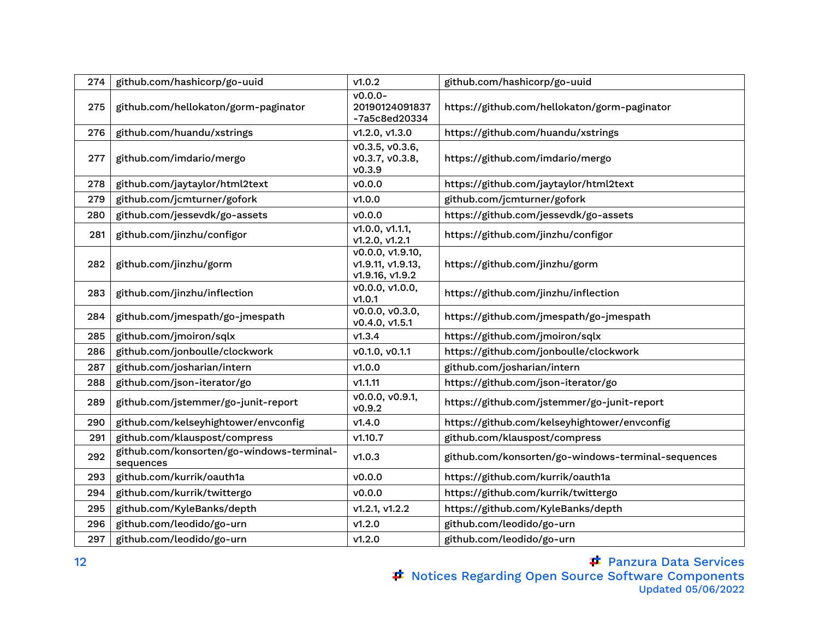| 274 | github.com/hashicorp/go-uuid                           | v1.0.2                                                   | github.com/hashicorp/go-uuid                       |
|-----|--------------------------------------------------------|----------------------------------------------------------|----------------------------------------------------|
| 275 | github.com/hellokaton/gorm-paginator                   | $\overline{v}$ 0.0.0-<br>20190124091837<br>-7a5c8ed20334 | https://github.com/hellokaton/gorm-paginator       |
| 276 | github.com/huandu/xstrings                             | v1.2.0, v1.3.0                                           | https://github.com/huandu/xstrings                 |
| 277 | github.com/imdario/mergo                               | V0.3.5, V0.3.6,<br>v0.3.7, v0.3.8,<br>V0.3.9             | https://github.com/imdario/mergo                   |
| 278 | github.com/jaytaylor/html2text                         | v0.0.0                                                   | https://github.com/jaytaylor/html2text             |
| 279 | github.com/jcmturner/gofork                            | V1.0.0                                                   | github.com/jcmturner/gofork                        |
| 280 | github.com/jessevdk/go-assets                          | v0.0.0                                                   | https://github.com/jessevdk/go-assets              |
| 281 | github.com/jinzhu/configor                             | V1.0.0, V1.1.1,<br>V1.2.0, V1.2.1                        | https://github.com/jinzhu/configor                 |
| 282 | github.com/jinzhu/gorm                                 | v0.0.0, v1.9.10,<br>v1.9.11, v1.9.13,<br>v1.9.16, v1.9.2 | https://github.com/jinzhu/gorm                     |
| 283 | github.com/jinzhu/inflection                           | v0.0.0, v1.0.0,<br>V1.0.1                                | https://github.com/jinzhu/inflection               |
| 284 | github.com/jmespath/go-jmespath                        | v0.0.0, v0.3.0,<br>v0.4.0, v1.5.1                        | https://github.com/jmespath/go-jmespath            |
| 285 | github.com/jmoiron/sqlx                                | V1.3.4                                                   | https://github.com/jmoiron/sqlx                    |
| 286 | github.com/jonboulle/clockwork                         | v0.1.0, v0.1.1                                           | https://github.com/jonboulle/clockwork             |
| 287 | github.com/josharian/intern                            | v1.0.0                                                   | github.com/josharian/intern                        |
| 288 | github.com/json-iterator/go                            | v1.1.11                                                  | https://github.com/json-iterator/go                |
| 289 | github.com/jstemmer/go-junit-report                    | v0.0.0, v0.9.1,<br>V0.9.2                                | https://github.com/jstemmer/go-junit-report        |
| 290 | github.com/kelseyhightower/envconfig                   | V1.4.0                                                   | https://github.com/kelseyhightower/envconfig       |
| 291 | github.com/klauspost/compress                          | v1.10.7                                                  | github.com/klauspost/compress                      |
| 292 | github.com/konsorten/go-windows-terminal-<br>sequences | V1.0.3                                                   | github.com/konsorten/go-windows-terminal-sequences |
| 293 | github.com/kurrik/oauth1a                              | v0.0.0                                                   | https://github.com/kurrik/oauth1a                  |
| 294 | github.com/kurrik/twittergo                            | V0.0.0                                                   | https://github.com/kurrik/twittergo                |
| 295 | github.com/KyleBanks/depth                             | V1.2.1, V1.2.2                                           | https://github.com/KyleBanks/depth                 |
| 296 | github.com/leodido/go-urn                              | V1.2.0                                                   | github.com/leodido/go-urn                          |
| 297 | github.com/leodido/go-urn                              | V1.2.0                                                   | github.com/leodido/go-urn                          |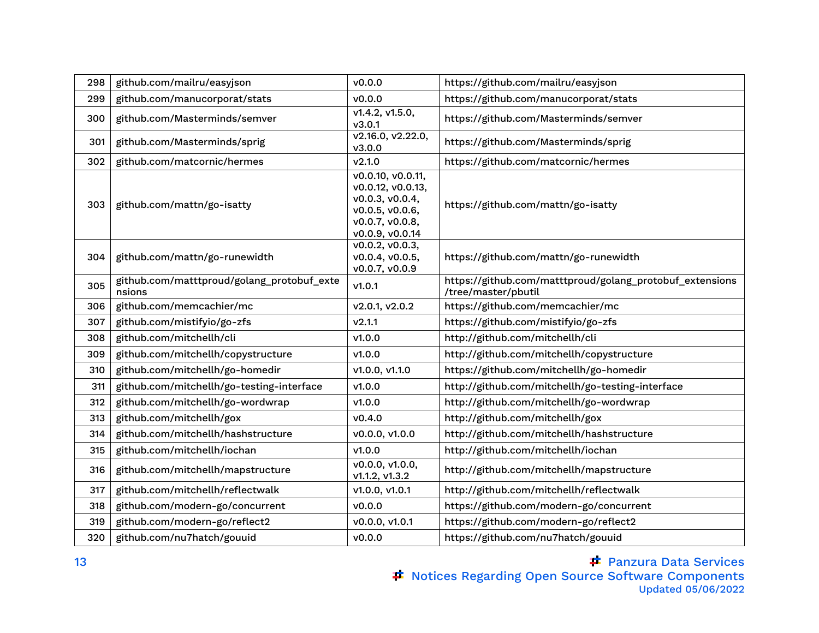| 298 | github.com/mailru/easyjson                           | v0.0.0                                                                                                             | https://github.com/mailru/easyjson                                              |
|-----|------------------------------------------------------|--------------------------------------------------------------------------------------------------------------------|---------------------------------------------------------------------------------|
| 299 | github.com/manucorporat/stats                        | V0.0.0                                                                                                             | https://github.com/manucorporat/stats                                           |
| 300 | github.com/Masterminds/semver                        | v1.4.2, v1.5.0,<br>v3.0.1                                                                                          | https://github.com/Masterminds/semver                                           |
| 301 | github.com/Masterminds/sprig                         | v2.16.0, v2.22.0,<br>V3.0.0                                                                                        | https://github.com/Masterminds/sprig                                            |
| 302 | github.com/matcornic/hermes                          | v2.1.0                                                                                                             | https://github.com/matcornic/hermes                                             |
| 303 | github.com/mattn/go-isatty                           | v0.0.10, v0.0.11,<br>v0.0.12, v0.0.13,<br>v0.0.3, v0.0.4,<br>v0.0.5, v0.0.6,<br>v0.0.7, v0.0.8,<br>v0.0.9, v0.0.14 | https://github.com/mattn/go-isatty                                              |
| 304 | github.com/mattn/go-runewidth                        | v0.0.2, v0.0.3,<br>v0.0.4, v0.0.5,<br>v0.0.7, v0.0.9                                                               | https://github.com/mattn/go-runewidth                                           |
| 305 | github.com/matttproud/golang_protobuf_exte<br>nsions | v1.0.1                                                                                                             | https://github.com/matttproud/golang_protobuf_extensions<br>/tree/master/pbutil |
| 306 | github.com/memcachier/mc                             | v2.0.1, v2.0.2                                                                                                     | https://github.com/memcachier/mc                                                |
| 307 | github.com/mistifyio/go-zfs                          | V2.1.1                                                                                                             | https://github.com/mistifyio/go-zfs                                             |
| 308 | github.com/mitchellh/cli                             | V1.0.0                                                                                                             | http://github.com/mitchellh/cli                                                 |
| 309 | github.com/mitchellh/copystructure                   | V1.0.0                                                                                                             | http://github.com/mitchellh/copystructure                                       |
| 310 | github.com/mitchellh/go-homedir                      | v1.0.0, v1.1.0                                                                                                     | https://github.com/mitchellh/go-homedir                                         |
| 311 | github.com/mitchellh/go-testing-interface            | V1.0.0                                                                                                             | http://github.com/mitchellh/go-testing-interface                                |
| 312 | github.com/mitchellh/go-wordwrap                     | V1.0.0                                                                                                             | http://github.com/mitchellh/go-wordwrap                                         |
| 313 | github.com/mitchellh/gox                             | V0.4.0                                                                                                             | http://github.com/mitchellh/gox                                                 |
| 314 | github.com/mitchellh/hashstructure                   | v0.0.0, v1.0.0                                                                                                     | http://github.com/mitchellh/hashstructure                                       |
| 315 | github.com/mitchellh/iochan                          | V1.0.0                                                                                                             | http://github.com/mitchellh/iochan                                              |
| 316 | github.com/mitchellh/mapstructure                    | v0.0.0, v1.0.0,<br>V1.1.2, V1.3.2                                                                                  | http://github.com/mitchellh/mapstructure                                        |
| 317 | github.com/mitchellh/reflectwalk                     | v1.0.0, v1.0.1                                                                                                     | http://github.com/mitchellh/reflectwalk                                         |
| 318 | github.com/modern-go/concurrent                      | v0.0.0                                                                                                             | https://github.com/modern-go/concurrent                                         |
| 319 | github.com/modern-go/reflect2                        | v0.0.0, v1.0.1                                                                                                     | https://github.com/modern-go/reflect2                                           |
| 320 | github.com/nu7hatch/gouuid                           | v0.0.0                                                                                                             | https://github.com/nu7hatch/gouuid                                              |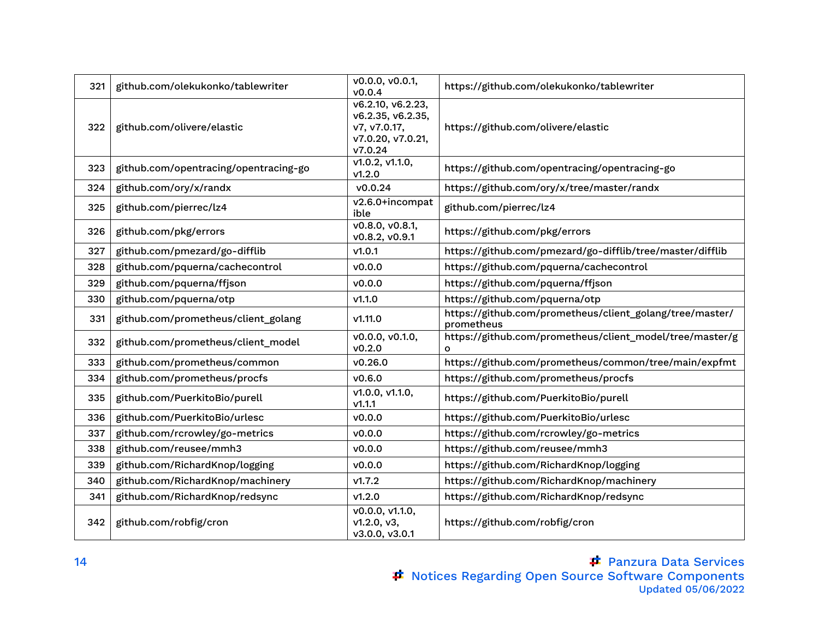| 321 | github.com/olekukonko/tablewriter     | v0.0.0, v0.0.1,<br>v0.0.4                                                              | https://github.com/olekukonko/tablewriter                              |
|-----|---------------------------------------|----------------------------------------------------------------------------------------|------------------------------------------------------------------------|
| 322 | github.com/olivere/elastic            | v6.2.10, v6.2.23,<br>v6.2.35, v6.2.35,<br>v7, v7.0.17,<br>v7.0.20, v7.0.21,<br>V7.0.24 | https://github.com/olivere/elastic                                     |
| 323 | github.com/opentracing/opentracing-go | v1.0.2, v1.1.0,<br>V1.2.0                                                              | https://github.com/opentracing/opentracing-go                          |
| 324 | github.com/ory/x/randx                | v0.0.24                                                                                | https://github.com/ory/x/tree/master/randx                             |
| 325 | github.com/pierrec/lz4                | v2.6.0+incompat<br>ible                                                                | github.com/pierrec/lz4                                                 |
| 326 | github.com/pkg/errors                 | v0.8.0, v0.8.1,<br>v0.8.2, v0.9.1                                                      | https://github.com/pkg/errors                                          |
| 327 | github.com/pmezard/go-difflib         | v1.0.1                                                                                 | https://github.com/pmezard/go-difflib/tree/master/difflib              |
| 328 | github.com/pquerna/cachecontrol       | V0.0.0                                                                                 | https://github.com/pquerna/cachecontrol                                |
| 329 | github.com/pquerna/ffjson             | v0.0.0                                                                                 | https://github.com/pquerna/ffjson                                      |
| 330 | github.com/pquerna/otp                | V1.1.0                                                                                 | https://github.com/pquerna/otp                                         |
| 331 | github.com/prometheus/client_golang   | v1.11.0                                                                                | https://github.com/prometheus/client_golang/tree/master/<br>prometheus |
| 332 | github.com/prometheus/client_model    | v0.0.0, v0.1.0,<br>v0.2.0                                                              | https://github.com/prometheus/client_model/tree/master/g<br>O          |
| 333 | github.com/prometheus/common          | V0.26.0                                                                                | https://github.com/prometheus/common/tree/main/expfmt                  |
| 334 | github.com/prometheus/procfs          | V0.6.0                                                                                 | https://github.com/prometheus/procfs                                   |
| 335 | github.com/PuerkitoBio/purell         | v1.0.0, v1.1.0,<br>V1.1.1                                                              | https://github.com/PuerkitoBio/purell                                  |
| 336 | github.com/PuerkitoBio/urlesc         | V0.0.0                                                                                 | https://github.com/PuerkitoBio/urlesc                                  |
| 337 | github.com/rcrowley/go-metrics        | V0.0.0                                                                                 | https://github.com/rcrowley/go-metrics                                 |
| 338 | github.com/reusee/mmh3                | V0.0.0                                                                                 | https://github.com/reusee/mmh3                                         |
| 339 | github.com/RichardKnop/logging        | v0.0.0                                                                                 | https://github.com/RichardKnop/logging                                 |
| 340 | github.com/RichardKnop/machinery      | v1.7.2                                                                                 | https://github.com/RichardKnop/machinery                               |
| 341 | github.com/RichardKnop/redsync        | V1.2.0                                                                                 | https://github.com/RichardKnop/redsync                                 |
| 342 | github.com/robfig/cron                | v0.0.0, v1.1.0,<br>v1.2.0, v3,<br>v3.0.0, v3.0.1                                       | https://github.com/robfig/cron                                         |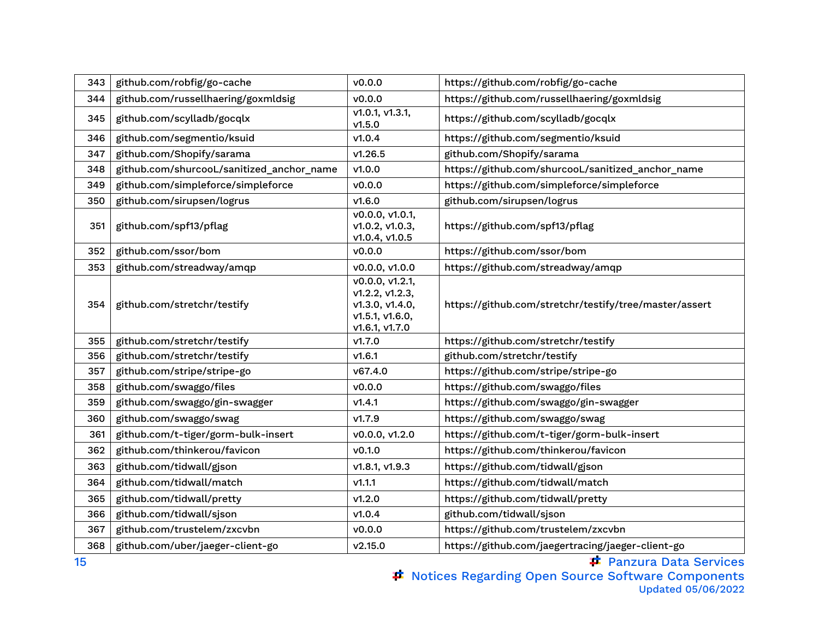| 343 | github.com/robfig/go-cache                | v0.0.0                                                                                     | https://github.com/robfig/go-cache                     |
|-----|-------------------------------------------|--------------------------------------------------------------------------------------------|--------------------------------------------------------|
| 344 | github.com/russellhaering/goxmldsig       | v0.0.0                                                                                     | https://github.com/russellhaering/goxmldsig            |
| 345 | github.com/scylladb/gocqlx                | v1.0.1, v1.3.1,<br>V1.5.0                                                                  | https://github.com/scylladb/gocqlx                     |
| 346 | github.com/segmentio/ksuid                | V1.0.4                                                                                     | https://github.com/segmentio/ksuid                     |
| 347 | github.com/Shopify/sarama                 | V1.26.5                                                                                    | github.com/Shopify/sarama                              |
| 348 | github.com/shurcooL/sanitized_anchor_name | v1.0.0                                                                                     | https://github.com/shurcooL/sanitized_anchor_name      |
| 349 | github.com/simpleforce/simpleforce        | V0.0.0                                                                                     | https://github.com/simpleforce/simpleforce             |
| 350 | github.com/sirupsen/logrus                | V1.6.0                                                                                     | github.com/sirupsen/logrus                             |
| 351 | github.com/spf13/pflag                    | v0.0.0, v1.0.1,<br>v1.0.2, v1.0.3,<br>v1.0.4, v1.0.5                                       | https://github.com/spf13/pflag                         |
| 352 | github.com/ssor/bom                       | v0.0.0                                                                                     | https://github.com/ssor/bom                            |
| 353 | github.com/streadway/amqp                 | v0.0.0, v1.0.0                                                                             | https://github.com/streadway/amqp                      |
| 354 | github.com/stretchr/testify               | v0.0.0, v1.2.1,<br>v1.2.2, v1.2.3,<br>v1.3.0, v1.4.0,<br>v1.5.1, v1.6.0,<br>v1.6.1, v1.7.0 | https://github.com/stretchr/testify/tree/master/assert |
| 355 | github.com/stretchr/testify               | V1.7.0                                                                                     | https://github.com/stretchr/testify                    |
| 356 | github.com/stretchr/testify               | V1.6.1                                                                                     | github.com/stretchr/testify                            |
| 357 | github.com/stripe/stripe-go               | v67.4.0                                                                                    | https://github.com/stripe/stripe-go                    |
| 358 | github.com/swaggo/files                   | v0.0.0                                                                                     | https://github.com/swaggo/files                        |
| 359 | github.com/swaggo/gin-swagger             | V1.4.1                                                                                     | https://github.com/swaggo/gin-swagger                  |
| 360 | github.com/swaggo/swag                    | V1.7.9                                                                                     | https://github.com/swaggo/swag                         |
| 361 | github.com/t-tiger/gorm-bulk-insert       | v0.0.0, v1.2.0                                                                             | https://github.com/t-tiger/gorm-bulk-insert            |
| 362 | github.com/thinkerou/favicon              | V0.1.0                                                                                     | https://github.com/thinkerou/favicon                   |
| 363 | github.com/tidwall/gjson                  | v1.8.1, v1.9.3                                                                             | https://github.com/tidwall/gjson                       |
| 364 | github.com/tidwall/match                  | V1.1.1                                                                                     | https://github.com/tidwall/match                       |
| 365 | github.com/tidwall/pretty                 | V1.2.0                                                                                     | https://github.com/tidwall/pretty                      |
| 366 | github.com/tidwall/sjson                  | V1.0.4                                                                                     | github.com/tidwall/sjson                               |
| 367 | github.com/trustelem/zxcvbn               | V0.0.0                                                                                     | https://github.com/trustelem/zxcvbn                    |
| 368 | github.com/uber/jaeger-client-go          | v2.15.0                                                                                    | https://github.com/jaegertracing/jaeger-client-go      |

**F** Panzura Data Services

Notices Regarding Open Source Software Components Updated 05/06/2022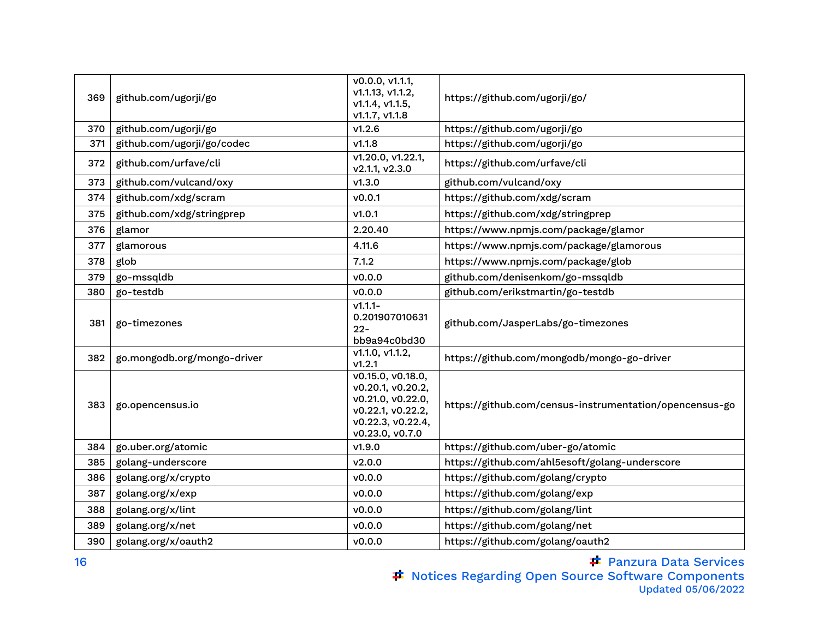| 369 | github.com/ugorji/go        | v0.0.0, v1.1.1,<br>v1.1.13, v1.1.2,<br>V1.1.4, V1.1.5,<br>V1.1.7, V1.1.8                                                 | https://github.com/ugorji/go/                           |
|-----|-----------------------------|--------------------------------------------------------------------------------------------------------------------------|---------------------------------------------------------|
| 370 | github.com/ugorji/go        | V1.2.6                                                                                                                   | https://github.com/ugorji/go                            |
| 371 | github.com/ugorji/go/codec  | V1.1.8                                                                                                                   | https://github.com/ugorji/go                            |
| 372 | github.com/urfave/cli       | v1.20.0, v1.22.1,<br>v2.1.1, v2.3.0                                                                                      | https://github.com/urfave/cli                           |
| 373 | github.com/vulcand/oxy      | V1.3.0                                                                                                                   | github.com/vulcand/oxy                                  |
| 374 | github.com/xdg/scram        | v0.0.1                                                                                                                   | https://github.com/xdg/scram                            |
| 375 | github.com/xdg/stringprep   | V1.0.1                                                                                                                   | https://github.com/xdg/stringprep                       |
| 376 | glamor                      | 2.20.40                                                                                                                  | https://www.npmjs.com/package/glamor                    |
| 377 | glamorous                   | 4.11.6                                                                                                                   | https://www.npmjs.com/package/glamorous                 |
| 378 | glob                        | 7.1.2                                                                                                                    | https://www.npmjs.com/package/glob                      |
| 379 | go-mssqldb                  | V0.0.0                                                                                                                   | github.com/denisenkom/go-mssqldb                        |
| 380 | go-testdb                   | v0.0.0                                                                                                                   | github.com/erikstmartin/go-testdb                       |
| 381 | go-timezones                | $V1.1.1 -$<br>0.201907010631<br>$22 -$<br>bb9a94c0bd30                                                                   | github.com/JasperLabs/go-timezones                      |
| 382 | go.mongodb.org/mongo-driver | v1.1.0, v1.1.2,<br>V1.2.1                                                                                                | https://github.com/mongodb/mongo-go-driver              |
| 383 | go.opencensus.io            | v0.15.0, v0.18.0,<br>v0.20.1, v0.20.2,<br>v0.21.0, v0.22.0,<br>v0.22.1, v0.22.2,<br>v0.22.3, v0.22.4,<br>v0.23.0, v0.7.0 | https://github.com/census-instrumentation/opencensus-go |
| 384 | go.uber.org/atomic          | V1.9.0                                                                                                                   | https://github.com/uber-go/atomic                       |
| 385 | golang-underscore           | v2.0.0                                                                                                                   | https://github.com/ahl5esoft/golang-underscore          |
| 386 | golang.org/x/crypto         | v0.0.0                                                                                                                   | https://github.com/golang/crypto                        |
| 387 | golang.org/x/exp            | v0.0.0                                                                                                                   | https://github.com/golang/exp                           |
| 388 | golang.org/x/lint           | v0.0.0                                                                                                                   | https://github.com/golang/lint                          |
| 389 | golang.org/x/net            | v0.0.0                                                                                                                   | https://github.com/golang/net                           |
| 390 | golang.org/x/oauth2         | v0.0.0                                                                                                                   | https://github.com/golang/oauth2                        |

Panzura Data Services Notices Regarding Open Source Software Components Updated 05/06/2022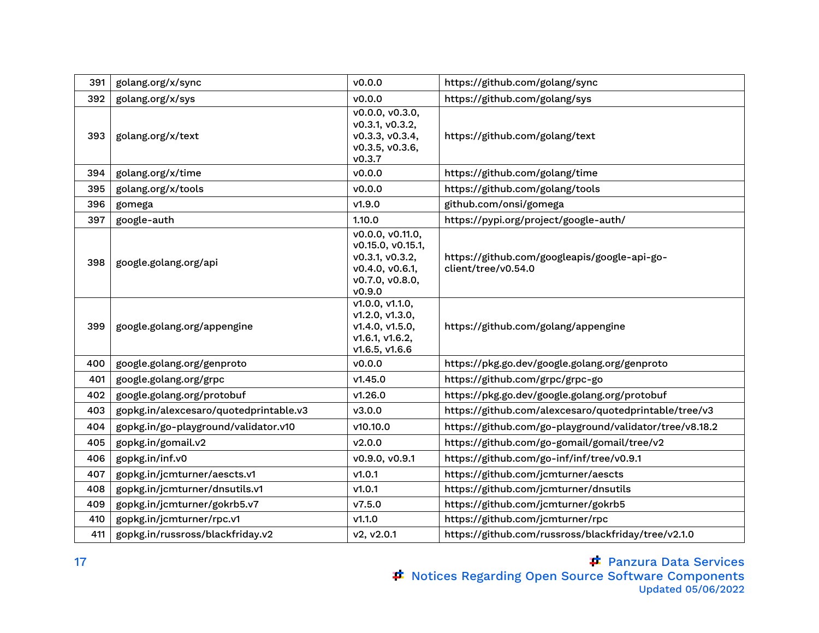| 391 | golang.org/x/sync                      | v0.0.0                                                                                                   | https://github.com/golang/sync                                      |
|-----|----------------------------------------|----------------------------------------------------------------------------------------------------------|---------------------------------------------------------------------|
| 392 | golang.org/x/sys                       | V0.0.0                                                                                                   | https://github.com/golang/sys                                       |
| 393 | golang.org/x/text                      | v0.0.0, v0.3.0,<br>v0.3.1, v0.3.2,<br>v0.3.3, v0.3.4,<br>v0.3.5, v0.3.6,<br>v0.3.7                       | https://github.com/golang/text                                      |
| 394 | golang.org/x/time                      | v0.0.0                                                                                                   | https://github.com/golang/time                                      |
| 395 | golang.org/x/tools                     | v0.0.0                                                                                                   | https://github.com/golang/tools                                     |
| 396 | gomega                                 | V1.9.0                                                                                                   | github.com/onsi/gomega                                              |
| 397 | google-auth                            | 1.10.0                                                                                                   | https://pypi.org/project/google-auth/                               |
| 398 | google.golang.org/api                  | v0.0.0, v0.11.0,<br>v0.15.0, v0.15.1,<br>v0.3.1, v0.3.2,<br>v0.4.0, v0.6.1,<br>v0.7.0, v0.8.0,<br>v0.9.0 | https://github.com/googleapis/google-api-go-<br>client/tree/v0.54.0 |
| 399 | google.golang.org/appengine            | v1.0.0, v1.1.0,<br>v1.2.0, v1.3.0,<br>v1.4.0, v1.5.0,<br>v1.6.1, v1.6.2,<br>v1.6.5, v1.6.6               | https://github.com/golang/appengine                                 |
| 400 | google.golang.org/genproto             | v0.0.0                                                                                                   | https://pkg.go.dev/google.golang.org/genproto                       |
| 401 | google.golang.org/grpc                 | v1.45.0                                                                                                  | https://github.com/grpc/grpc-go                                     |
| 402 | google.golang.org/protobuf             | V1.26.0                                                                                                  | https://pkg.go.dev/google.golang.org/protobuf                       |
| 403 | gopkg.in/alexcesaro/quotedprintable.v3 | V3.0.0                                                                                                   | https://github.com/alexcesaro/quotedprintable/tree/v3               |
| 404 | gopkg.in/go-playground/validator.v10   | v10.10.0                                                                                                 | https://github.com/go-playground/validator/tree/v8.18.2             |
| 405 | gopkg.in/gomail.v2                     | V2.0.0                                                                                                   | https://github.com/go-gomail/gomail/tree/v2                         |
| 406 | gopkg.in/inf.v0                        | v0.9.0, v0.9.1                                                                                           | https://github.com/go-inf/inf/tree/v0.9.1                           |
| 407 | gopkg.in/jcmturner/aescts.v1           | V1.0.1                                                                                                   | https://github.com/jcmturner/aescts                                 |
| 408 | gopkg.in/jcmturner/dnsutils.v1         | V1.0.1                                                                                                   | https://github.com/jcmturner/dnsutils                               |
| 409 | gopkg.in/jcmturner/gokrb5.v7           | V7.5.0                                                                                                   | https://github.com/jcmturner/gokrb5                                 |
| 410 | gopkg.in/jcmturner/rpc.v1              | V1.1.0                                                                                                   | https://github.com/jcmturner/rpc                                    |
| 411 | gopkg.in/russross/blackfriday.v2       | v2, v2.0.1                                                                                               | https://github.com/russross/blackfriday/tree/v2.1.0                 |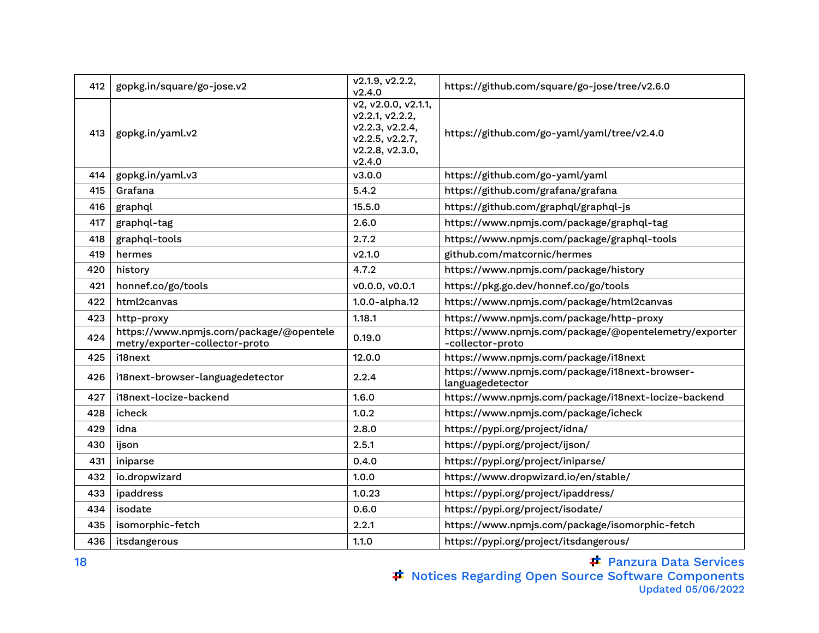| 412 | gopkg.in/square/go-jose.v2                                                | v2.1.9, v2.2.2,<br>V2.4.0                                                                                 | https://github.com/square/go-jose/tree/v2.6.0                             |
|-----|---------------------------------------------------------------------------|-----------------------------------------------------------------------------------------------------------|---------------------------------------------------------------------------|
| 413 | gopkg.in/yaml.v2                                                          | v2, v2.0.0, v2.1.1,<br>v2.2.1, v2.2.2,<br>v2.2.3, v2.2.4,<br>v2.2.5, v2.2.7,<br>v2.2.8, v2.3.0,<br>V2.4.0 | https://github.com/go-yaml/yaml/tree/v2.4.0                               |
| 414 | gopkg.in/yaml.v3                                                          | v3.0.0                                                                                                    | https://github.com/go-yaml/yaml                                           |
| 415 | Grafana                                                                   | 5.4.2                                                                                                     | https://github.com/grafana/grafana                                        |
| 416 | graphql                                                                   | 15.5.0                                                                                                    | https://github.com/graphql/graphql-js                                     |
| 417 | graphql-tag                                                               | 2.6.0                                                                                                     | https://www.npmjs.com/package/graphql-tag                                 |
| 418 | graphql-tools                                                             | 2.7.2                                                                                                     | https://www.npmjs.com/package/graphql-tools                               |
| 419 | hermes                                                                    | V2.1.0                                                                                                    | github.com/matcornic/hermes                                               |
| 420 | history                                                                   | 4.7.2                                                                                                     | https://www.npmjs.com/package/history                                     |
| 421 | honnef.co/go/tools                                                        | v0.0.0, v0.0.1                                                                                            | https://pkg.go.dev/honnef.co/go/tools                                     |
| 422 | html2canvas                                                               | 1.0.0-alpha.12                                                                                            | https://www.npmjs.com/package/html2canvas                                 |
| 423 | http-proxy                                                                | 1.18.1                                                                                                    | https://www.npmjs.com/package/http-proxy                                  |
| 424 | https://www.npmjs.com/package/@opentele<br>metry/exporter-collector-proto | 0.19.0                                                                                                    | https://www.npmjs.com/package/@opentelemetry/exporter<br>-collector-proto |
| 425 | i18next                                                                   | 12.0.0                                                                                                    | https://www.npmjs.com/package/i18next                                     |
| 426 | i18next-browser-languagedetector                                          | 2.2.4                                                                                                     | https://www.npmjs.com/package/i18next-browser-<br>languagedetector        |
| 427 | i18next-locize-backend                                                    | 1.6.0                                                                                                     | https://www.npmjs.com/package/i18next-locize-backend                      |
| 428 | icheck                                                                    | 1.0.2                                                                                                     | https://www.npmjs.com/package/icheck                                      |
| 429 | idna                                                                      | 2.8.0                                                                                                     | https://pypi.org/project/idna/                                            |
| 430 | ijson                                                                     | 2.5.1                                                                                                     | https://pypi.org/project/ijson/                                           |
| 431 | iniparse                                                                  | 0.4.0                                                                                                     | https://pypi.org/project/iniparse/                                        |
| 432 | io.dropwizard                                                             | 1.0.0                                                                                                     | https://www.dropwizard.io/en/stable/                                      |
| 433 | ipaddress                                                                 | 1.0.23                                                                                                    | https://pypi.org/project/ipaddress/                                       |
| 434 | isodate                                                                   | 0.6.0                                                                                                     | https://pypi.org/project/isodate/                                         |
| 435 | isomorphic-fetch                                                          | 2.2.1                                                                                                     | https://www.npmjs.com/package/isomorphic-fetch                            |
| 436 | itsdangerous                                                              | 1.1.0                                                                                                     | https://pypi.org/project/itsdangerous/                                    |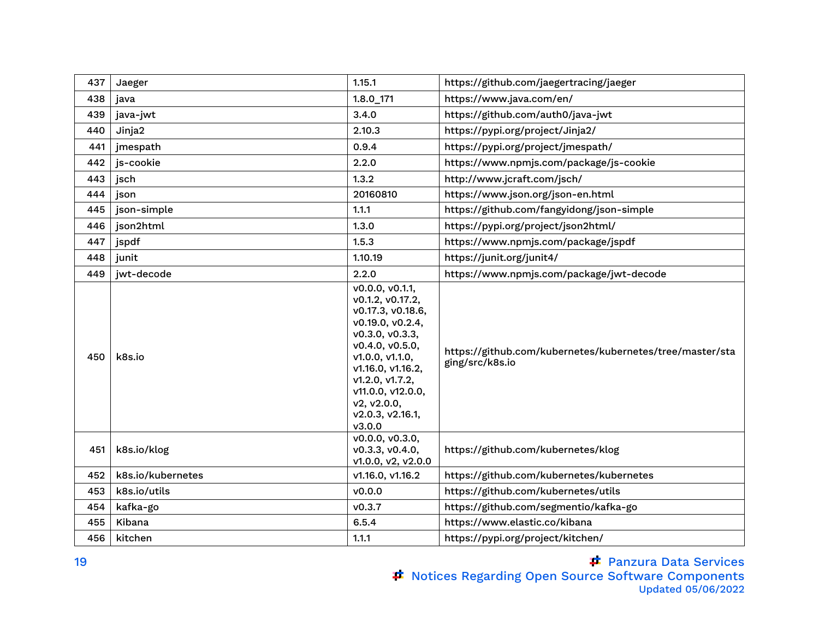| 437 | Jaeger            | 1.15.1                                                                                                                                                                                                                                          | https://github.com/jaegertracing/jaeger                                     |
|-----|-------------------|-------------------------------------------------------------------------------------------------------------------------------------------------------------------------------------------------------------------------------------------------|-----------------------------------------------------------------------------|
| 438 | java              | $1.8.0$ _171                                                                                                                                                                                                                                    | https://www.java.com/en/                                                    |
| 439 | java-jwt          | 3.4.0                                                                                                                                                                                                                                           | https://github.com/auth0/java-jwt                                           |
| 440 | Jinja2            | 2.10.3                                                                                                                                                                                                                                          | https://pypi.org/project/Jinja2/                                            |
| 441 | jmespath          | 0.9.4                                                                                                                                                                                                                                           | https://pypi.org/project/jmespath/                                          |
| 442 | js-cookie         | 2.2.0                                                                                                                                                                                                                                           | https://www.npmjs.com/package/js-cookie                                     |
| 443 | jsch              | 1.3.2                                                                                                                                                                                                                                           | http://www.jcraft.com/jsch/                                                 |
| 444 | json              | 20160810                                                                                                                                                                                                                                        | https://www.json.org/json-en.html                                           |
| 445 | json-simple       | 1.1.1                                                                                                                                                                                                                                           | https://github.com/fangyidong/json-simple                                   |
| 446 | json2html         | 1.3.0                                                                                                                                                                                                                                           | https://pypi.org/project/json2html/                                         |
| 447 | jspdf             | 1.5.3                                                                                                                                                                                                                                           | https://www.npmjs.com/package/jspdf                                         |
| 448 | junit             | 1.10.19                                                                                                                                                                                                                                         | https://junit.org/junit4/                                                   |
| 449 | jwt-decode        | 2.2.0                                                                                                                                                                                                                                           | https://www.npmjs.com/package/jwt-decode                                    |
| 450 | k8s.io            | v0.0.0, v0.1.1,<br>v0.1.2, v0.17.2,<br>v0.17.3, v0.18.6,<br>v0.19.0, v0.2.4,<br>v0.3.0, v0.3.3,<br>v0.4.0, v0.5.0,<br>v1.0.0, v1.1.0,<br>v1.16.0, v1.16.2,<br>v1.2.0, v1.7.2,<br>v11.0.0, v12.0.0,<br>v2, v2.0.0,<br>v2.0.3, v2.16.1,<br>V3.0.0 | https://github.com/kubernetes/kubernetes/tree/master/sta<br>ging/src/k8s.io |
| 451 | k8s.io/klog       | v0.0.0, v0.3.0,<br>v0.3.3, v0.4.0,<br>v1.0.0, v2, v2.0.0                                                                                                                                                                                        | https://github.com/kubernetes/klog                                          |
| 452 | k8s.io/kubernetes | v1.16.0, v1.16.2                                                                                                                                                                                                                                | https://github.com/kubernetes/kubernetes                                    |
| 453 | k8s.io/utils      | v0.0.0                                                                                                                                                                                                                                          | https://github.com/kubernetes/utils                                         |
| 454 | kafka-go          | v0.3.7                                                                                                                                                                                                                                          | https://github.com/segmentio/kafka-go                                       |
| 455 | Kibana            | 6.5.4                                                                                                                                                                                                                                           | https://www.elastic.co/kibana                                               |
| 456 | kitchen           | 1.1.1                                                                                                                                                                                                                                           | https://pypi.org/project/kitchen/                                           |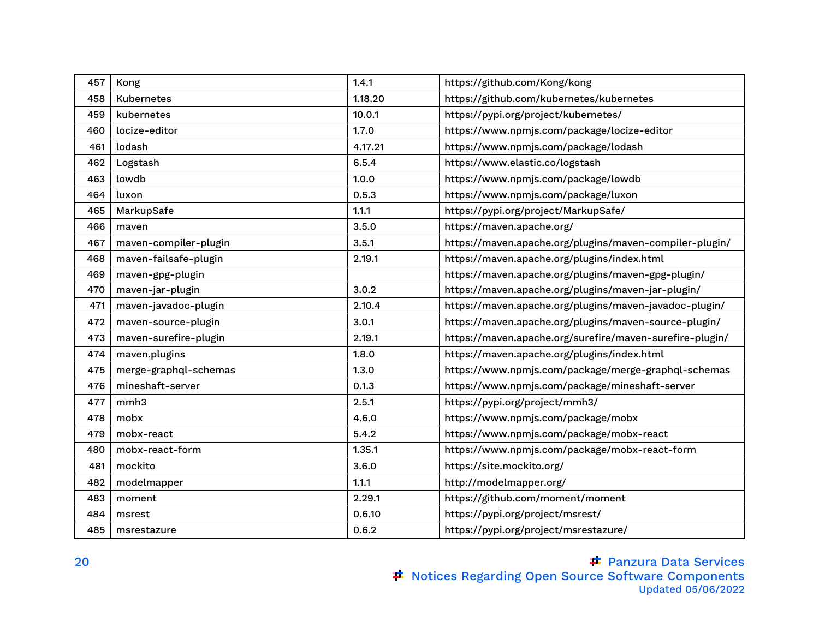| 457 | Kong                  | 1.4.1   | https://github.com/Kong/kong                             |
|-----|-----------------------|---------|----------------------------------------------------------|
| 458 | <b>Kubernetes</b>     | 1.18.20 | https://github.com/kubernetes/kubernetes                 |
| 459 | kubernetes            | 10.0.1  | https://pypi.org/project/kubernetes/                     |
| 460 | locize-editor         | 1.7.0   | https://www.npmjs.com/package/locize-editor              |
| 461 | lodash                | 4.17.21 | https://www.npmjs.com/package/lodash                     |
| 462 | Logstash              | 6.5.4   | https://www.elastic.co/logstash                          |
| 463 | lowdb                 | 1.0.0   | https://www.npmjs.com/package/lowdb                      |
| 464 | luxon                 | 0.5.3   | https://www.npmjs.com/package/luxon                      |
| 465 | MarkupSafe            | 1.1.1   | https://pypi.org/project/MarkupSafe/                     |
| 466 | maven                 | 3.5.0   | https://maven.apache.org/                                |
| 467 | maven-compiler-plugin | 3.5.1   | https://maven.apache.org/plugins/maven-compiler-plugin/  |
| 468 | maven-failsafe-plugin | 2.19.1  | https://maven.apache.org/plugins/index.html              |
| 469 | maven-gpg-plugin      |         | https://maven.apache.org/plugins/maven-gpg-plugin/       |
| 470 | maven-jar-plugin      | 3.0.2   | https://maven.apache.org/plugins/maven-jar-plugin/       |
| 471 | maven-javadoc-plugin  | 2.10.4  | https://maven.apache.org/plugins/maven-javadoc-plugin/   |
| 472 | maven-source-plugin   | 3.0.1   | https://maven.apache.org/plugins/maven-source-plugin/    |
| 473 | maven-surefire-plugin | 2.19.1  | https://maven.apache.org/surefire/maven-surefire-plugin/ |
| 474 | maven.plugins         | 1.8.0   | https://maven.apache.org/plugins/index.html              |
| 475 | merge-graphql-schemas | 1.3.0   | https://www.npmjs.com/package/merge-graphql-schemas      |
| 476 | mineshaft-server      | 0.1.3   | https://www.npmjs.com/package/mineshaft-server           |
| 477 | mmh <sub>3</sub>      | 2.5.1   | https://pypi.org/project/mmh3/                           |
| 478 | mobx                  | 4.6.0   | https://www.npmjs.com/package/mobx                       |
| 479 | mobx-react            | 5.4.2   | https://www.npmjs.com/package/mobx-react                 |
| 480 | mobx-react-form       | 1.35.1  | https://www.npmjs.com/package/mobx-react-form            |
| 481 | mockito               | 3.6.0   | https://site.mockito.org/                                |
| 482 | modelmapper           | 1.1.1   | http://modelmapper.org/                                  |
| 483 | moment                | 2.29.1  | https://github.com/moment/moment                         |
| 484 | msrest                | 0.6.10  | https://pypi.org/project/msrest/                         |
| 485 | msrestazure           | 0.6.2   | https://pypi.org/project/msrestazure/                    |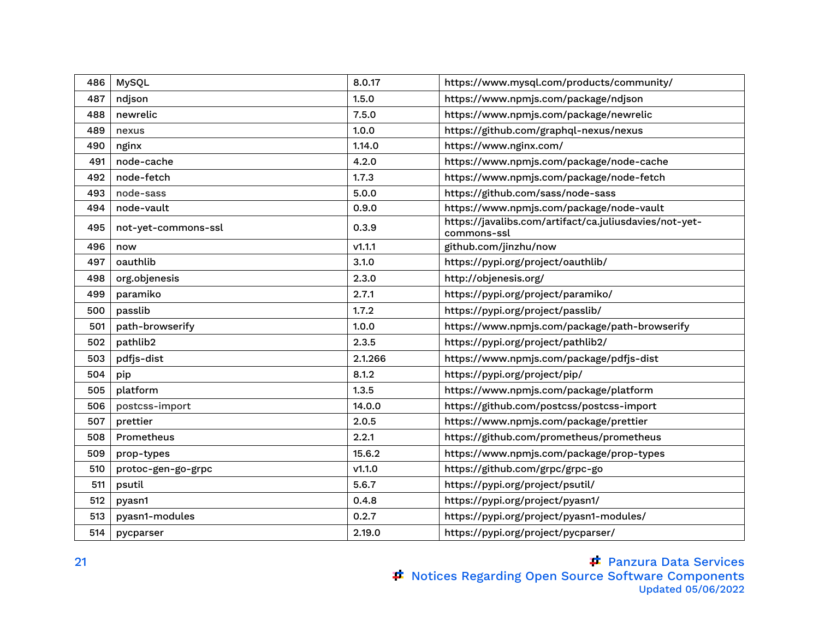| 486 | MySQL               | 8.0.17  | https://www.mysql.com/products/community/                             |
|-----|---------------------|---------|-----------------------------------------------------------------------|
| 487 | ndjson              | 1.5.0   | https://www.npmjs.com/package/ndjson                                  |
| 488 | newrelic            | 7.5.0   | https://www.npmjs.com/package/newrelic                                |
| 489 | nexus               | 1.0.0   | https://github.com/graphql-nexus/nexus                                |
| 490 | nginx               | 1.14.0  | https://www.nginx.com/                                                |
| 491 | node-cache          | 4.2.0   | https://www.npmjs.com/package/node-cache                              |
| 492 | node-fetch          | 1.7.3   | https://www.npmjs.com/package/node-fetch                              |
| 493 | node-sass           | 5.0.0   | https://github.com/sass/node-sass                                     |
| 494 | node-vault          | 0.9.0   | https://www.npmjs.com/package/node-vault                              |
| 495 | not-yet-commons-ssl | 0.3.9   | https://javalibs.com/artifact/ca.juliusdavies/not-yet-<br>commons-ssl |
| 496 | now                 | V1.1.1  | github.com/jinzhu/now                                                 |
| 497 | oauthlib            | 3.1.0   | https://pypi.org/project/oauthlib/                                    |
| 498 | org.objenesis       | 2.3.0   | http://objenesis.org/                                                 |
| 499 | paramiko            | 2.7.1   | https://pypi.org/project/paramiko/                                    |
| 500 | passlib             | 1.7.2   | https://pypi.org/project/passlib/                                     |
| 501 | path-browserify     | 1.0.0   | https://www.npmjs.com/package/path-browserify                         |
| 502 | pathlib2            | 2.3.5   | https://pypi.org/project/pathlib2/                                    |
| 503 | pdfjs-dist          | 2.1.266 | https://www.npmjs.com/package/pdfjs-dist                              |
| 504 | pip                 | 8.1.2   | https://pypi.org/project/pip/                                         |
| 505 | platform            | 1.3.5   | https://www.npmjs.com/package/platform                                |
| 506 | postcss-import      | 14.0.0  | https://github.com/postcss/postcss-import                             |
| 507 | prettier            | 2.0.5   | https://www.npmjs.com/package/prettier                                |
| 508 | Prometheus          | 2.2.1   | https://github.com/prometheus/prometheus                              |
| 509 | prop-types          | 15.6.2  | https://www.npmjs.com/package/prop-types                              |
| 510 | protoc-gen-go-grpc  | V1.1.0  | https://github.com/grpc/grpc-go                                       |
| 511 | psutil              | 5.6.7   | https://pypi.org/project/psutil/                                      |
| 512 | pyasn1              | 0.4.8   | https://pypi.org/project/pyasn1/                                      |
| 513 | pyasn1-modules      | 0.2.7   | https://pypi.org/project/pyasn1-modules/                              |
| 514 | pycparser           | 2.19.0  | https://pypi.org/project/pycparser/                                   |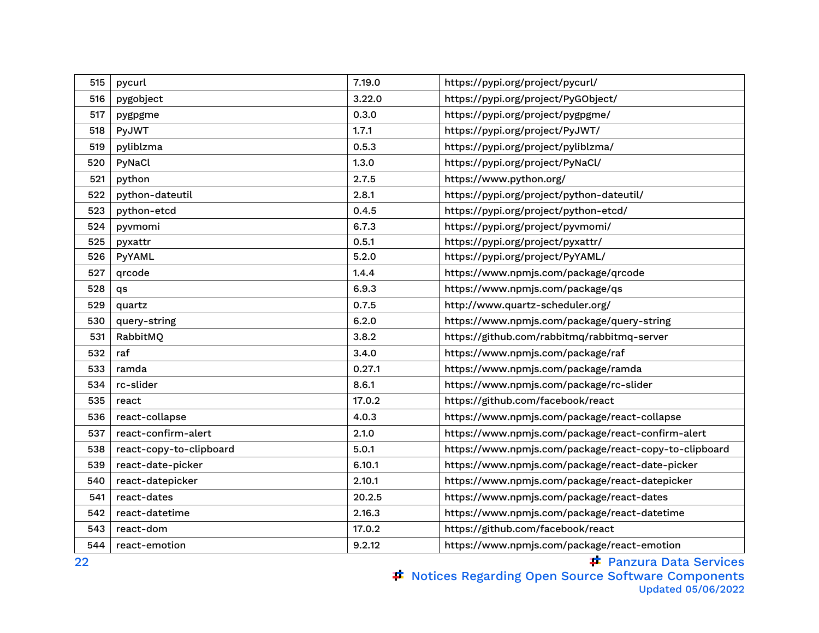| 515 | pycurl                  | 7.19.0 | https://pypi.org/project/pycurl/                      |
|-----|-------------------------|--------|-------------------------------------------------------|
| 516 | pygobject               | 3.22.0 | https://pypi.org/project/PyGObject/                   |
| 517 | pygpgme                 | 0.3.0  | https://pypi.org/project/pygpgme/                     |
| 518 | PyJWT                   | 1.7.1  | https://pypi.org/project/PyJWT/                       |
| 519 | pyliblzma               | 0.5.3  | https://pypi.org/project/pyliblzma/                   |
| 520 | PyNaCl                  | 1.3.0  | https://pypi.org/project/PyNaCl/                      |
| 521 | python                  | 2.7.5  | https://www.python.org/                               |
| 522 | python-dateutil         | 2.8.1  | https://pypi.org/project/python-dateutil/             |
| 523 | python-etcd             | 0.4.5  | https://pypi.org/project/python-etcd/                 |
| 524 | pyvmomi                 | 6.7.3  | https://pypi.org/project/pyvmomi/                     |
| 525 | pyxattr                 | 0.5.1  | https://pypi.org/project/pyxattr/                     |
| 526 | PyYAML                  | 5.2.0  | https://pypi.org/project/PyYAML/                      |
| 527 | qrcode                  | 1.4.4  | https://www.npmjs.com/package/qrcode                  |
| 528 | qs                      | 6.9.3  | https://www.npmjs.com/package/qs                      |
| 529 | quartz                  | 0.7.5  | http://www.quartz-scheduler.org/                      |
| 530 | query-string            | 6.2.0  | https://www.npmjs.com/package/query-string            |
| 531 | RabbitMQ                | 3.8.2  | https://github.com/rabbitmq/rabbitmq-server           |
| 532 | raf                     | 3.4.0  | https://www.npmjs.com/package/raf                     |
| 533 | ramda                   | 0.27.1 | https://www.npmjs.com/package/ramda                   |
| 534 | rc-slider               | 8.6.1  | https://www.npmjs.com/package/rc-slider               |
| 535 | react                   | 17.0.2 | https://github.com/facebook/react                     |
| 536 | react-collapse          | 4.0.3  | https://www.npmjs.com/package/react-collapse          |
| 537 | react-confirm-alert     | 2.1.0  | https://www.npmjs.com/package/react-confirm-alert     |
| 538 | react-copy-to-clipboard | 5.0.1  | https://www.npmjs.com/package/react-copy-to-clipboard |
| 539 | react-date-picker       | 6.10.1 | https://www.npmjs.com/package/react-date-picker       |
| 540 | react-datepicker        | 2.10.1 | https://www.npmjs.com/package/react-datepicker        |
| 541 | react-dates             | 20.2.5 | https://www.npmjs.com/package/react-dates             |
| 542 | react-datetime          | 2.16.3 | https://www.npmjs.com/package/react-datetime          |
| 543 | react-dom               | 17.0.2 | https://github.com/facebook/react                     |
| 544 | react-emotion           | 9.2.12 | https://www.npmjs.com/package/react-emotion           |

Panzura Data Services Notices Regarding Open Source Software Components Updated 05/06/2022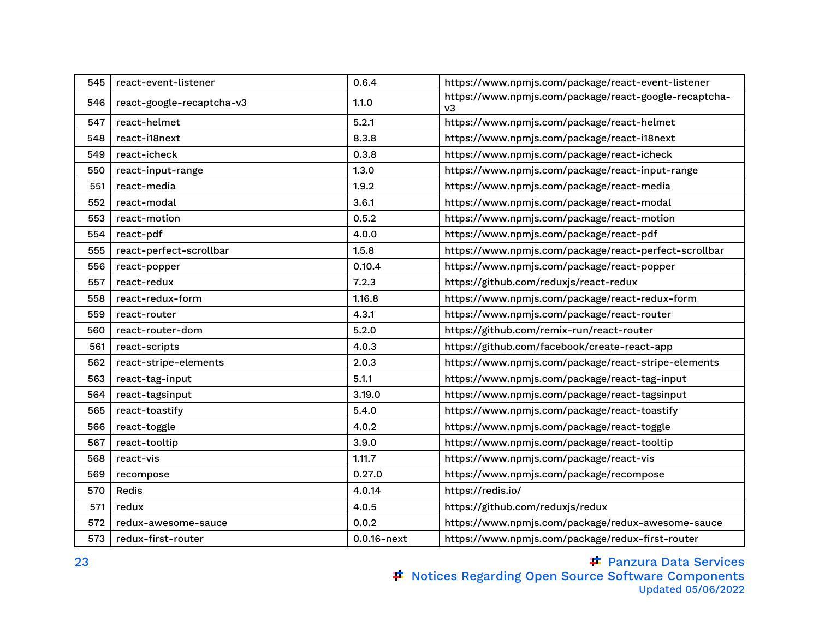| 545 | react-event-listener      | 0.6.4          | https://www.npmjs.com/package/react-event-listener          |
|-----|---------------------------|----------------|-------------------------------------------------------------|
| 546 | react-google-recaptcha-v3 | 1.1.0          | https://www.npmjs.com/package/react-google-recaptcha-<br>v3 |
| 547 | react-helmet              | 5.2.1          | https://www.npmjs.com/package/react-helmet                  |
| 548 | react-i18next             | 8.3.8          | https://www.npmjs.com/package/react-i18next                 |
| 549 | react-icheck              | 0.3.8          | https://www.npmjs.com/package/react-icheck                  |
| 550 | react-input-range         | 1.3.0          | https://www.npmjs.com/package/react-input-range             |
| 551 | react-media               | 1.9.2          | https://www.npmjs.com/package/react-media                   |
| 552 | react-modal               | 3.6.1          | https://www.npmjs.com/package/react-modal                   |
| 553 | react-motion              | 0.5.2          | https://www.npmjs.com/package/react-motion                  |
| 554 | react-pdf                 | 4.0.0          | https://www.npmjs.com/package/react-pdf                     |
| 555 | react-perfect-scrollbar   | 1.5.8          | https://www.npmjs.com/package/react-perfect-scrollbar       |
| 556 | react-popper              | 0.10.4         | https://www.npmjs.com/package/react-popper                  |
| 557 | react-redux               | 7.2.3          | https://github.com/reduxjs/react-redux                      |
| 558 | react-redux-form          | 1.16.8         | https://www.npmjs.com/package/react-redux-form              |
| 559 | react-router              | 4.3.1          | https://www.npmjs.com/package/react-router                  |
| 560 | react-router-dom          | 5.2.0          | https://github.com/remix-run/react-router                   |
| 561 | react-scripts             | 4.0.3          | https://github.com/facebook/create-react-app                |
| 562 | react-stripe-elements     | 2.0.3          | https://www.npmjs.com/package/react-stripe-elements         |
| 563 | react-tag-input           | 5.1.1          | https://www.npmjs.com/package/react-tag-input               |
| 564 | react-tagsinput           | 3.19.0         | https://www.npmjs.com/package/react-tagsinput               |
| 565 | react-toastify            | 5.4.0          | https://www.npmjs.com/package/react-toastify                |
| 566 | react-toggle              | 4.0.2          | https://www.npmjs.com/package/react-toggle                  |
| 567 | react-tooltip             | 3.9.0          | https://www.npmjs.com/package/react-tooltip                 |
| 568 | react-vis                 | 1.11.7         | https://www.npmjs.com/package/react-vis                     |
| 569 | recompose                 | 0.27.0         | https://www.npmjs.com/package/recompose                     |
| 570 | Redis                     | 4.0.14         | https://redis.io/                                           |
| 571 | redux                     | 4.0.5          | https://github.com/reduxjs/redux                            |
| 572 | redux-awesome-sauce       | 0.0.2          | https://www.npmjs.com/package/redux-awesome-sauce           |
| 573 | redux-first-router        | $0.0.16$ -next | https://www.npmjs.com/package/redux-first-router            |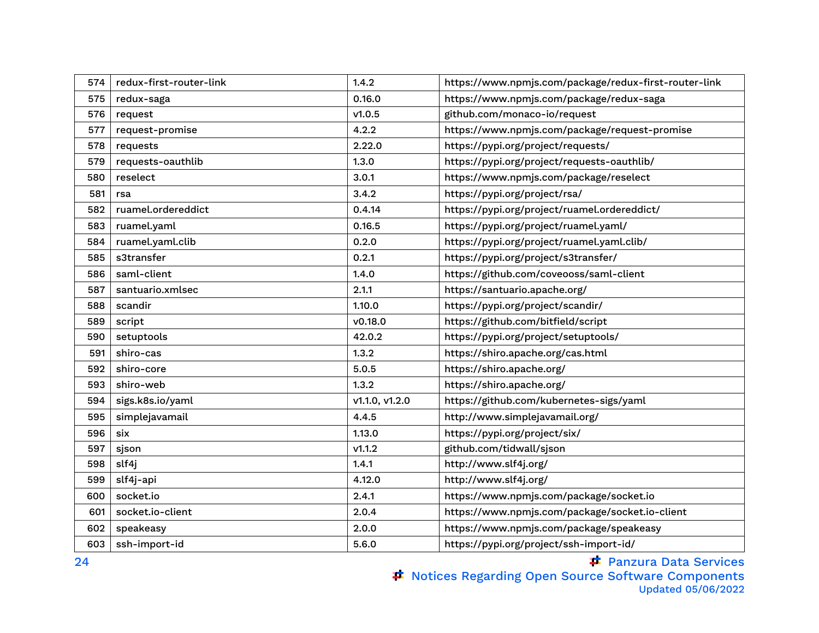| 574 | redux-first-router-link | 1.4.2          | https://www.npmjs.com/package/redux-first-router-link |
|-----|-------------------------|----------------|-------------------------------------------------------|
| 575 | redux-saga              | 0.16.0         | https://www.npmjs.com/package/redux-saga              |
| 576 | request                 | v1.0.5         | github.com/monaco-io/request                          |
| 577 | request-promise         | 4.2.2          | https://www.npmjs.com/package/request-promise         |
| 578 | requests                | 2.22.0         | https://pypi.org/project/requests/                    |
| 579 | requests-oauthlib       | 1.3.0          | https://pypi.org/project/requests-oauthlib/           |
| 580 | reselect                | 3.0.1          | https://www.npmjs.com/package/reselect                |
| 581 | rsa                     | 3.4.2          | https://pypi.org/project/rsa/                         |
| 582 | ruamel.ordereddict      | 0.4.14         | https://pypi.org/project/ruamel.ordereddict/          |
| 583 | ruamel.yaml             | 0.16.5         | https://pypi.org/project/ruamel.yaml/                 |
| 584 | ruamel.yaml.clib        | 0.2.0          | https://pypi.org/project/ruamel.yaml.clib/            |
| 585 | s3transfer              | 0.2.1          | https://pypi.org/project/s3transfer/                  |
| 586 | saml-client             | 1.4.0          | https://github.com/coveooss/saml-client               |
| 587 | santuario.xmlsec        | 2.1.1          | https://santuario.apache.org/                         |
| 588 | scandir                 | 1.10.0         | https://pypi.org/project/scandir/                     |
| 589 | script                  | v0.18.0        | https://github.com/bitfield/script                    |
| 590 | setuptools              | 42.0.2         | https://pypi.org/project/setuptools/                  |
| 591 | shiro-cas               | 1.3.2          | https://shiro.apache.org/cas.html                     |
| 592 | shiro-core              | 5.0.5          | https://shiro.apache.org/                             |
| 593 | shiro-web               | 1.3.2          | https://shiro.apache.org/                             |
| 594 | sigs.k8s.io/yaml        | v1.1.0, v1.2.0 | https://github.com/kubernetes-sigs/yaml               |
| 595 | simplejavamail          | 4.4.5          | http://www.simplejavamail.org/                        |
| 596 | six                     | 1.13.0         | https://pypi.org/project/six/                         |
| 597 | sjson                   | v1.1.2         | github.com/tidwall/sjson                              |
| 598 | slf4j                   | 1.4.1          | http://www.slf4j.org/                                 |
| 599 | slf4j-api               | 4.12.0         | http://www.slf4j.org/                                 |
| 600 | socket.io               | 2.4.1          | https://www.npmjs.com/package/socket.io               |
| 601 | socket.io-client        | 2.0.4          | https://www.npmjs.com/package/socket.io-client        |
| 602 | speakeasy               | 2.0.0          | https://www.npmjs.com/package/speakeasy               |
| 603 | ssh-import-id           | 5.6.0          | https://pypi.org/project/ssh-import-id/               |

Panzura Data Services

Notices Regarding Open Source Software Components Updated 05/06/2022